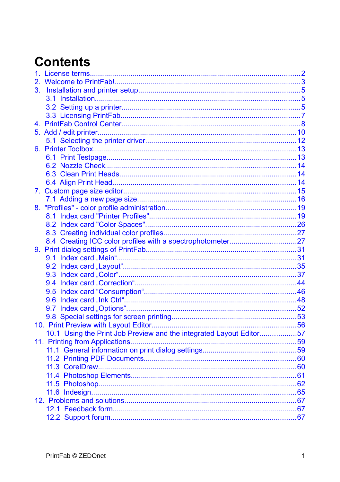# **Contents**

| 3. |                                                                     |  |
|----|---------------------------------------------------------------------|--|
|    |                                                                     |  |
|    |                                                                     |  |
|    |                                                                     |  |
|    |                                                                     |  |
|    |                                                                     |  |
|    |                                                                     |  |
|    |                                                                     |  |
|    |                                                                     |  |
|    |                                                                     |  |
|    |                                                                     |  |
|    |                                                                     |  |
|    |                                                                     |  |
|    |                                                                     |  |
|    |                                                                     |  |
|    |                                                                     |  |
|    |                                                                     |  |
|    |                                                                     |  |
|    | 8.4 Creating ICC color profiles with a spectrophotometer27          |  |
|    |                                                                     |  |
|    |                                                                     |  |
|    |                                                                     |  |
|    |                                                                     |  |
|    |                                                                     |  |
|    |                                                                     |  |
|    |                                                                     |  |
|    |                                                                     |  |
|    |                                                                     |  |
|    |                                                                     |  |
|    | 10.1 Using the Print Job Preview and the integrated Layout Editor57 |  |
|    |                                                                     |  |
|    |                                                                     |  |
|    |                                                                     |  |
|    |                                                                     |  |
|    |                                                                     |  |
|    |                                                                     |  |
|    |                                                                     |  |
|    |                                                                     |  |
|    |                                                                     |  |
|    |                                                                     |  |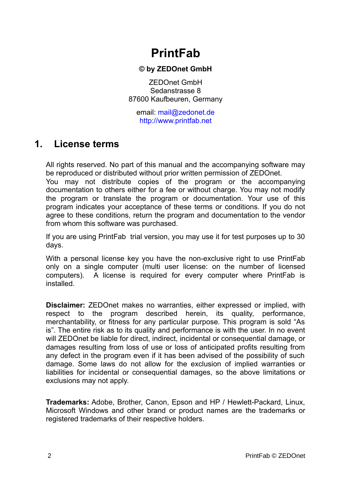# **PrintFab**

#### **© by ZEDOnet GmbH**

ZEDOnet GmbH Sedanstrasse 8 87600 Kaufbeuren, Germany

email: [mail@zedonet.de](mailto:mail@zedonet.de) [http://www.printfab.net](http://www.printfab.net/)

## <span id="page-1-0"></span>**1. License terms**

All rights reserved. No part of this manual and the accompanying software may be reproduced or distributed without prior written permission of ZEDOnet.

You may not distribute copies of the program or the accompanying documentation to others either for a fee or without charge. You may not modify the program or translate the program or documentation. Your use of this program indicates your acceptance of these terms or conditions. If you do not agree to these conditions, return the program and documentation to the vendor from whom this software was purchased.

If you are using PrintFab trial version, you may use it for test purposes up to 30 days.

With a personal license key you have the non-exclusive right to use PrintFab only on a single computer (multi user license: on the number of licensed computers). A license is required for every computer where PrintFab is installed.

**Disclaimer:** ZEDOnet makes no warranties, either expressed or implied, with respect to the program described herein, its quality, performance, merchantability, or fitness for any particular purpose. This program is sold "As is". The entire risk as to its quality and performance is with the user. In no event will ZEDOnet be liable for direct, indirect, incidental or consequential damage, or damages resulting from loss of use or loss of anticipated profits resulting from any defect in the program even if it has been advised of the possibility of such damage. Some laws do not allow for the exclusion of implied warranties or liabilities for incidental or consequential damages, so the above limitations or exclusions may not apply.

**Trademarks:** Adobe, Brother, Canon, Epson and HP / Hewlett-Packard, Linux, Microsoft Windows and other brand or product names are the trademarks or registered trademarks of their respective holders.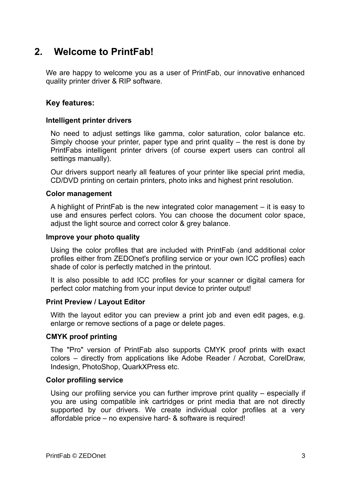## <span id="page-2-0"></span>**2. Welcome to PrintFab!**

We are happy to welcome you as a user of PrintFab, our innovative enhanced quality printer driver & RIP software.

#### **Key features:**

#### **Intelligent printer drivers**

No need to adjust settings like gamma, color saturation, color balance etc. Simply choose your printer, paper type and print quality – the rest is done by PrintFabs intelligent printer drivers (of course expert users can control all settings manually).

Our drivers support nearly all features of your printer like special print media, CD/DVD printing on certain printers, photo inks and highest print resolution.

#### **Color management**

A highlight of PrintFab is the new integrated color management – it is easy to use and ensures perfect colors. You can choose the document color space, adjust the light source and correct color & grey balance.

#### **Improve your photo quality**

Using the color profiles that are included with PrintFab (and additional color profiles either from ZEDOnet's profiling service or your own ICC profiles) each shade of color is perfectly matched in the printout.

It is also possible to add ICC profiles for your scanner or digital camera for perfect color matching from your input device to printer output!

#### **Print Preview / Layout Editor**

With the layout editor you can preview a print job and even edit pages, e.g. enlarge or remove sections of a page or delete pages.

#### **CMYK proof printing**

The "Pro" version of PrintFab also supports CMYK proof prints with exact colors – directly from applications like Adobe Reader / Acrobat, CorelDraw, Indesign, PhotoShop, QuarkXPress etc.

#### **Color profiling service**

Using our profiling service you can further improve print quality – especially if you are using compatible ink cartridges or print media that are not directly supported by our drivers. We create individual color profiles at a very affordable price – no expensive hard- & software is required!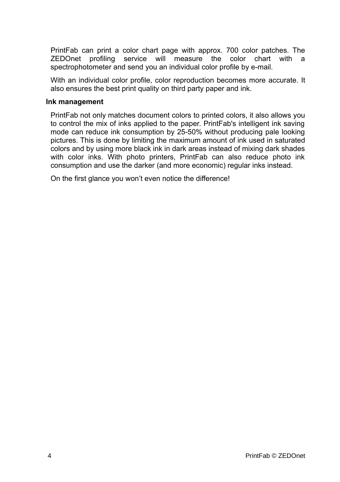PrintFab can print a color chart page with approx. 700 color patches. The ZEDOnet profiling service will measure the color chart with a spectrophotometer and send you an individual color profile by e-mail.

With an individual color profile, color reproduction becomes more accurate. It also ensures the best print quality on third party paper and ink.

#### **Ink management**

PrintFab not only matches document colors to printed colors, it also allows you to control the mix of inks applied to the paper. PrintFab's intelligent ink saving mode can reduce ink consumption by 25-50% without producing pale looking pictures. This is done by limiting the maximum amount of ink used in saturated colors and by using more black ink in dark areas instead of mixing dark shades with color inks. With photo printers, PrintFab can also reduce photo ink consumption and use the darker (and more economic) regular inks instead.

On the first glance you won't even notice the difference!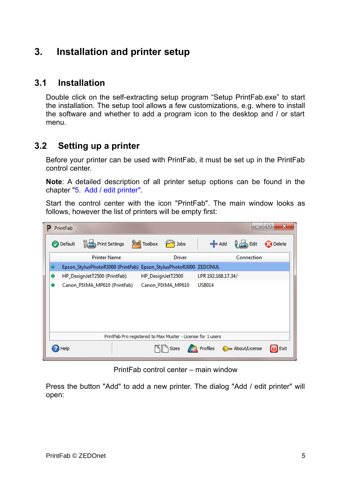## <span id="page-4-2"></span>**3. Installation and printer setup**

## **3.1 Installation**

<span id="page-4-1"></span>Double click on the self-extracting setup program "Setup PrintFab.exe" to start the installation. The setup tool allows a few customizations, e.g. where to install the software and whether to add a program icon to the desktop and / or start menu.

## **3.2 Setting up a printer**

<span id="page-4-0"></span>Before your printer can be used with PrintFab, it must be set up in the PrintFab control center.

**Note**: A detailed description of all printer setup options can be found in the chapter ["5. Add / edit printer".](#page-9-0)

Start the control center with the icon "PrintFab". The main window looks as follows, however the list of printers will be empty first:



PrintFab control center – main window

Press the button "Add" to add a new printer. The dialog "Add / edit printer" will open: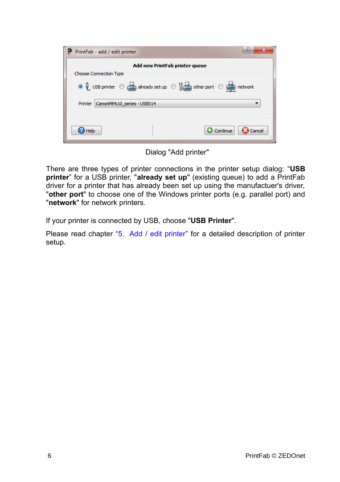| PrintFab - add / edit printer |                                       | 9<br>x                                                            |  |  |  |  |
|-------------------------------|---------------------------------------|-------------------------------------------------------------------|--|--|--|--|
|                               | <b>Add new PrintFab printer queue</b> |                                                                   |  |  |  |  |
| <b>Choose Connection Type</b> |                                       |                                                                   |  |  |  |  |
|                               |                                       | ◎ Q USB printer © already set up © (conterport © context) network |  |  |  |  |
| Printer                       | CanonMP610 series - USB014            |                                                                   |  |  |  |  |
| Help                          |                                       | Continue<br>Cancel                                                |  |  |  |  |

Dialog "Add printer"

There are three types of printer connections in the printer setup dialog: "**USB printer**" for a USB printer, "already set up" (existing queue) to add a PrintFab driver for a printer that has already been set up using the manufactuer's driver, "**other port**" to choose one of the Windows printer ports (e.g. parallel port) and "**network**" for network printers.

If your printer is connected by USB, choose "**USB Printer**".

Please read chapter ["5. Add / edit printer"](#page-9-0) for a detailed description of printer setup.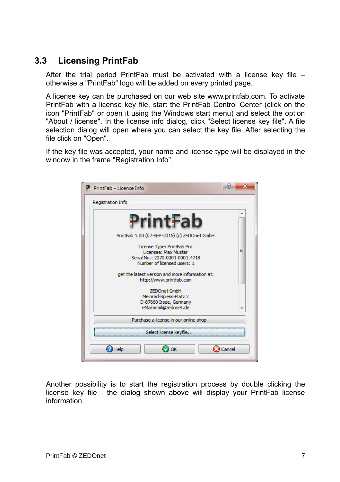## **3.3 Licensing PrintFab**

<span id="page-6-0"></span>After the trial period PrintFab must be activated with a license key file – otherwise a "PrintFab" logo will be added on every printed page.

A license key can be purchased on our web site www.printfab.com. To activate PrintFab with a license key file, start the PrintFab Control Center (click on the icon "PrintFab" or open it using the Windows start menu) and select the option "About / license". In the license info dialog, click "Select license key file". A file selection dialog will open where you can select the key file. After selecting the file click on "Open".

If the key file was accepted, your name and license type will be displayed in the window in the frame "Registration Info".



Another possibility is to start the registration process by double clicking the license key file - the dialog shown above will display your PrintFab license information.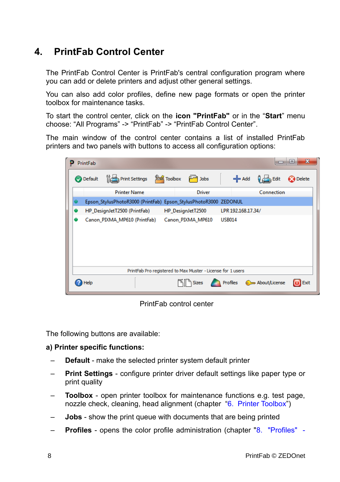## <span id="page-7-0"></span>**4. PrintFab Control Center**

The PrintFab Control Center is PrintFab's central configuration program where you can add or delete printers and adjust other general settings.

You can also add color profiles, define new page formats or open the printer toolbox for maintenance tasks.

To start the control center, click on the **icon "PrintFab"** or in the "**Start**" menu choose: "All Programs" -> "PrintFab" -> "PrintFab Control Center".

The main window of the control center contains a list of installed PrintFab printers and two panels with buttons to access all configuration options:

|  | PrintFab         |                                                                  |                    |                   |                    |                  |               | х<br>l =            |
|--|------------------|------------------------------------------------------------------|--------------------|-------------------|--------------------|------------------|---------------|---------------------|
|  | <b>O</b> Default | Print Settings                                                   | <b>Red</b> Toolbox | <b>Jobs</b>       |                    | $\leftarrow$ Add | $\Box$ Edit   | Delete              |
|  |                  | <b>Printer Name</b>                                              |                    | <b>Driver</b>     |                    |                  | Connection    |                     |
|  |                  | Epson_StylusPhotoR3000 (PrintFab) Epson_StylusPhotoR3000 ZEDONUL |                    |                   |                    |                  |               |                     |
|  |                  | HP DesignJetT2500 (PrintFab)                                     |                    | HP DesignJetT2500 | LPR 192.168.17.34/ |                  |               |                     |
|  |                  | Canon_PIXMA_MP610 (PrintFab)                                     |                    | Canon_PIXMA_MP610 | <b>USB014</b>      |                  |               |                     |
|  |                  | PrintFab Pro registered to Max Muster - License for 1 users      |                    |                   |                    |                  |               |                     |
|  | Help             |                                                                  |                    | <b>Sizes</b>      |                    |                  | About/License | $\blacksquare$ Exit |

PrintFab control center

The following buttons are available:

#### **a) Printer specific functions:**

- **Default** make the selected printer system default printer
- **Print Settings** configure printer driver default settings like paper type or print quality
- **Toolbox** open printer toolbox for maintenance functions e.g. test page, nozzle check, cleaning, head alignment (chapter ["6. Printer Toolbox"](#page-12-1))
- **Jobs** show the print queue with documents that are being printed
- **Profiles** opens the color profile administration (chapter ["8. "Profiles" -](#page-18-1)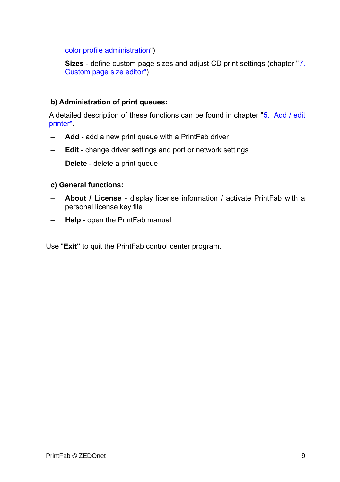[color profile administration"](#page-18-1))

– **Sizes** - define custom page sizes and adjust CD print settings (chapter ["7.](#page-14-0) [Custom page size editor"\)](#page-14-0)

#### **b) Administration of print queues:**

A detailed description of these functions can be found in chapter ["5. Add / edit](#page-9-0) [printer".](#page-9-0)

- **Add** add a new print queue with a PrintFab driver
- **Edit** change driver settings and port or network settings
- **Delete** delete a print queue

#### **c) General functions:**

- **About / License** display license information / activate PrintFab with a personal license key file
- **Help** open the PrintFab manual

Use "**Exit"** to quit the PrintFab control center program.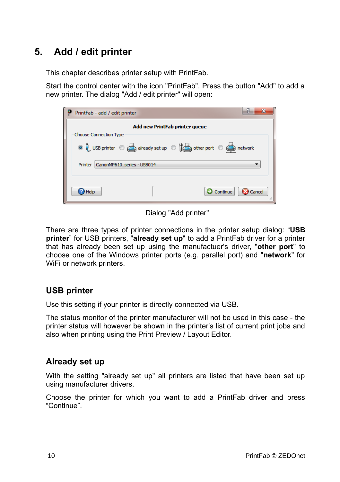## <span id="page-9-0"></span>**5. Add / edit printer**

This chapter describes printer setup with PrintFab.

Start the control center with the icon "PrintFab". Press the button "Add" to add a new printer. The dialog "Add / edit printer" will open:

| PrintFab - add / edit printer         |                                |                                                                    |
|---------------------------------------|--------------------------------|--------------------------------------------------------------------|
| <b>Choose Connection Type</b>         | Add new PrintFab printer queue | ◎ Q USB printer © already set up © (conter port © context) network |
| CanonMP610 series - USB014<br>Printer |                                |                                                                    |
| Help                                  |                                | $\sum$ Continue<br>Cancel                                          |

Dialog "Add printer"

There are three types of printer connections in the printer setup dialog: "**USB printer**" for USB printers, "**already set up**" to add a PrintFab driver for a printer that has already been set up using the manufactuer's driver, "**other port**" to choose one of the Windows printer ports (e.g. parallel port) and "**network**" for WiFi or network printers.

## **USB printer**

Use this setting if your printer is directly connected via USB.

The status monitor of the printer manufacturer will not be used in this case - the printer status will however be shown in the printer's list of current print jobs and also when printing using the Print Preview / Layout Editor.

### **Already set up**

With the setting "already set up" all printers are listed that have been set up using manufacturer drivers.

Choose the printer for which you want to add a PrintFab driver and press "Continue".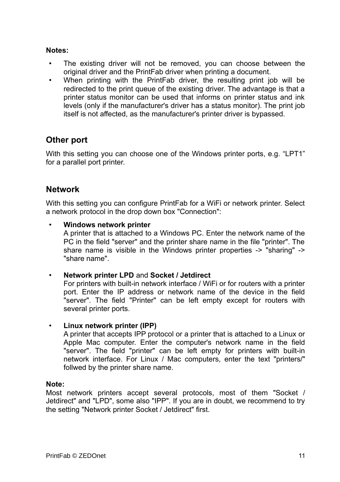#### **Notes:**

- The existing driver will not be removed, you can choose between the original driver and the PrintFab driver when printing a document.
- When printing with the PrintFab driver, the resulting print job will be redirected to the print queue of the existing driver. The advantage is that a printer status monitor can be used that informs on printer status and ink levels (only if the manufacturer's driver has a status monitor). The print job itself is not affected, as the manufacturer's printer driver is bypassed.

### **Other port**

With this setting you can choose one of the Windows printer ports, e.g. "LPT1" for a parallel port printer.

### **Network**

With this setting you can configure PrintFab for a WiFi or network printer. Select a network protocol in the drop down box "Connection":

#### • **Windows network printer**

A printer that is attached to a Windows PC. Enter the network name of the PC in the field "server" and the printer share name in the file "printer". The share name is visible in the Windows printer properties -> "sharing" -> "share name".

#### • **Network printer LPD** and **Socket / Jetdirect**

For printers with built-in network interface / WiFi or for routers with a printer port. Enter the IP address or network name of the device in the field "server". The field "Printer" can be left empty except for routers with several printer ports.

#### • **Linux network printer (IPP)**

A printer that accepts IPP protocol or a printer that is attached to a Linux or Apple Mac computer. Enter the computer's network name in the field "server". The field "printer" can be left empty for printers with built-in network interface. For Linux / Mac computers, enter the text "printers/" follwed by the printer share name.

#### **Note:**

Most network printers accept several protocols, most of them "Socket / Jetdirect" and "LPD", some also "IPP". If you are in doubt, we recommend to try the setting "Network printer Socket / Jetdirect" first.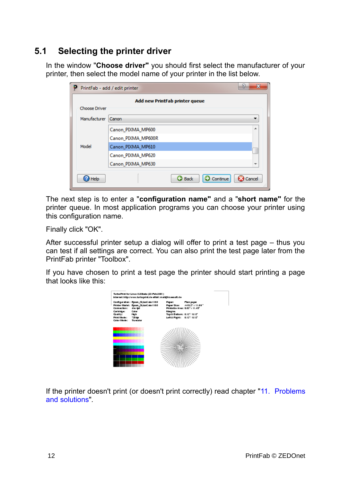## **5.1 Selecting the printer driver**

<span id="page-11-0"></span>In the window "**Choose driver"** you should first select the manufacturer of your printer, then select the model name of your printer in the list below.

|                                | ×<br>F<br>PrintFab - add / edit printer    |  |  |  |  |  |
|--------------------------------|--------------------------------------------|--|--|--|--|--|
| Add new PrintFab printer queue |                                            |  |  |  |  |  |
| <b>Choose Driver</b>           |                                            |  |  |  |  |  |
| Manufacturer                   | Canon                                      |  |  |  |  |  |
|                                | ۰<br>Canon PIXMA MP600                     |  |  |  |  |  |
|                                | Canon_PIXMA_MP600R                         |  |  |  |  |  |
| Model                          | Canon PIXMA MP610                          |  |  |  |  |  |
|                                | Canon PIXMA MP620                          |  |  |  |  |  |
|                                | Canon PIXMA MP630                          |  |  |  |  |  |
| Help                           | Continue<br>Cancel<br><b>3</b> Back<br>112 |  |  |  |  |  |

The next step is to enter a "**configuration name"** and a "**short name"** for the printer queue. In most application programs you can choose your printer using this configuration name.

Finally click "OK".

After successful printer setup a dialog will offer to print a test page – thus you can test if all settings are correct. You can also print the test page later from the PrintFab printer "Toolbox".

If you have chosen to print a test page the printer should start printing a page that looks like this:



If the printer doesn't print (or doesn't print correctly) read chapter ["11. Problems](#page-65-2) [and solutions"](#page-65-2)*.*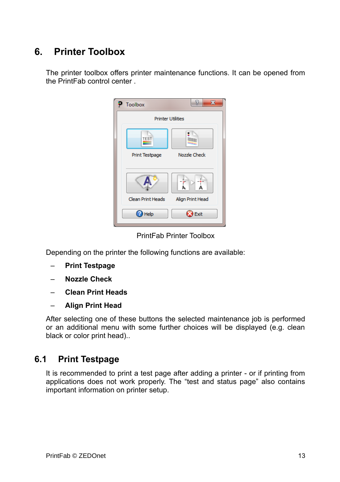## <span id="page-12-1"></span>**6. Printer Toolbox**

The printer toolbox offers printer maintenance functions. It can be opened from the PrintFab control center .

| Toolbox                              | P<br>$\mathbf x$ |
|--------------------------------------|------------------|
| <b>Printer Utilities</b>             |                  |
| <b>TEST</b><br><b>Print Testpage</b> | Nozzle Check     |
| Clean Print Heads                    | Align Print Head |
| Help                                 | Exit             |

PrintFab Printer Toolbox

Depending on the printer the following functions are available:

- **Print Testpage**
- **Nozzle Check**
- **Clean Print Heads**
- **Align Print Head**

After selecting one of these buttons the selected maintenance job is performed or an additional menu with some further choices will be displayed (e.g. clean black or color print head)..

## **6.1 Print Testpage**

<span id="page-12-0"></span>It is recommended to print a test page after adding a printer - or if printing from applications does not work properly. The "test and status page" also contains important information on printer setup.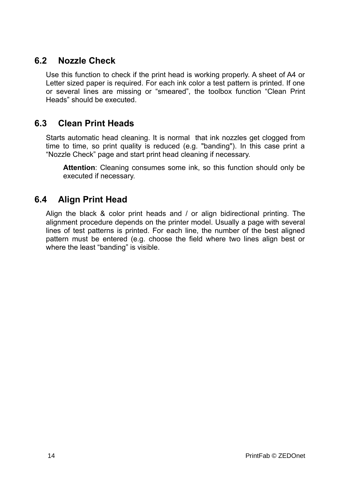## **6.2 Nozzle Check**

<span id="page-13-2"></span>Use this function to check if the print head is working properly. A sheet of A4 or Letter sized paper is required. For each ink color a test pattern is printed. If one or several lines are missing or "smeared", the toolbox function "Clean Print Heads" should be executed.

## **6.3 Clean Print Heads**

<span id="page-13-1"></span>Starts automatic head cleaning. It is normal that ink nozzles get clogged from time to time, so print quality is reduced (e.g. "banding"). In this case print a "Nozzle Check" page and start print head cleaning if necessary.

**Attention**: Cleaning consumes some ink, so this function should only be executed if necessary.

## **6.4 Align Print Head**

<span id="page-13-0"></span>Align the black & color print heads and / or align bidirectional printing. The alignment procedure depends on the printer model. Usually a page with several lines of test patterns is printed. For each line, the number of the best aligned pattern must be entered (e.g. choose the field where two lines align best or where the least "banding" is visible.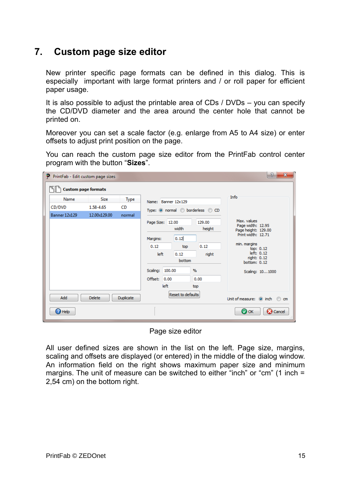## <span id="page-14-0"></span>**7. Custom page size editor**

New printer specific page formats can be defined in this dialog. This is especially important with large format printers and / or roll paper for efficient paper usage.

It is also possible to adjust the printable area of CDs / DVDs – you can specify the CD/DVD diameter and the area around the center hole that cannot be printed on.

Moreover you can set a scale factor (e.g. enlarge from A5 to A4 size) or enter offsets to adjust print position on the page.

You can reach the custom page size editor from the PrintFab control center program with the button "**Sizes**".

| P PrintFab - Edit custom page sizes |               |                  |                  |      |                     |                                  |                                  | $-2$<br>$\mathbf{x}$         |
|-------------------------------------|---------------|------------------|------------------|------|---------------------|----------------------------------|----------------------------------|------------------------------|
| <b>Custom page formats</b>          |               |                  |                  |      |                     |                                  |                                  |                              |
| Name                                | <b>Size</b>   | Type             |                  |      | Name: Banner 12x129 |                                  | Info                             |                              |
| CD/DVD                              | 1.58-4.65     | <b>CD</b>        |                  |      |                     | Type: O normal O borderless O CD |                                  |                              |
| Banner 12x129                       | 12.00x129.00  | normal           |                  |      |                     |                                  |                                  |                              |
|                                     |               |                  | Page Size: 12.00 |      |                     | 129.00                           | Max. values<br>Page width: 12.95 |                              |
|                                     |               |                  |                  |      | width               | height                           | Page height: 129.00              |                              |
|                                     |               |                  | Margins:         |      | 0.12                |                                  | Print width: 12.71               |                              |
|                                     |               |                  | 0.12             |      | top                 | 0.12                             | min. margins                     | top: 0.12                    |
|                                     |               |                  | left             |      | 0.12                | right                            |                                  | left: 0.12                   |
|                                     |               |                  |                  |      | bottom              |                                  | right: 0.12<br>bottom: 0.12      |                              |
|                                     |               |                  | Scaling: 100.00  |      |                     | $\frac{9}{6}$                    |                                  | Scaling: 101000              |
|                                     |               |                  | Offset: 0.00     |      |                     | 0.00                             |                                  |                              |
|                                     |               |                  |                  | left |                     | top                              |                                  |                              |
| Add                                 | <b>Delete</b> | <b>Duplicate</b> |                  |      | Reset to defaults   |                                  |                                  | Unit of measure: @ inch @ cm |
| <sup>2</sup> Help                   |               |                  |                  |      |                     |                                  | <b>O</b> OK                      | Cancel                       |

Page size editor

All user defined sizes are shown in the list on the left. Page size, margins, scaling and offsets are displayed (or entered) in the middle of the dialog window. An information field on the right shows maximum paper size and minimum margins. The unit of measure can be switched to either "inch" or "cm" (1 inch = 2,54 cm) on the bottom right.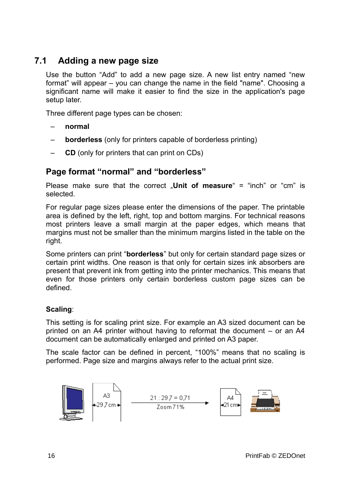## **7.1 Adding a new page size**

<span id="page-15-0"></span>Use the button "Add" to add a new page size. A new list entry named "new format" will appear – you can change the name in the field "name". Choosing a significant name will make it easier to find the size in the application's page setup later.

Three different page types can be chosen:

- **normal**
- **borderless** (only for printers capable of borderless printing)
- **CD** (only for printers that can print on CDs)

### **Page format "normal" and "borderless"**

Please make sure that the correct .**Unit of measure**" = "inch" or "cm" is selected.

For regular page sizes please enter the dimensions of the paper. The printable area is defined by the left, right, top and bottom margins. For technical reasons most printers leave a small margin at the paper edges, which means that margins must not be smaller than the minimum margins listed in the table on the right.

Some printers can print "**borderless**" but only for certain standard page sizes or certain print widths. One reason is that only for certain sizes ink absorbers are present that prevent ink from getting into the printer mechanics. This means that even for those printers only certain borderless custom page sizes can be defined.

#### **Scaling**:

This setting is for scaling print size. For example an A3 sized document can be printed on an A4 printer without having to reformat the document – or an A4 document can be automatically enlarged and printed on A3 paper.

The scale factor can be defined in percent, "100%" means that no scaling is performed. Page size and margins always refer to the actual print size.

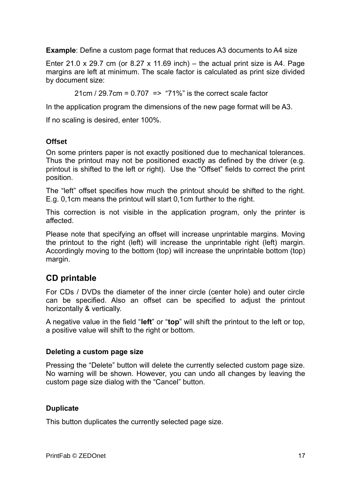**Example**: Define a custom page format that reduces A3 documents to A4 size

Enter 21.0 x 29.7 cm (or 8.27 x 11.69 inch) – the actual print size is A4. Page margins are left at minimum. The scale factor is calculated as print size divided by document size:

21cm / 29.7cm =  $0.707$  => "71%" is the correct scale factor

In the application program the dimensions of the new page format will be A3.

If no scaling is desired, enter 100%.

#### **Offset**

On some printers paper is not exactly positioned due to mechanical tolerances. Thus the printout may not be positioned exactly as defined by the driver (e.g. printout is shifted to the left or right). Use the "Offset" fields to correct the print position.

The "left" offset specifies how much the printout should be shifted to the right. E.g. 0,1cm means the printout will start 0,1cm further to the right.

This correction is not visible in the application program, only the printer is affected.

Please note that specifying an offset will increase unprintable margins. Moving the printout to the right (left) will increase the unprintable right (left) margin. Accordingly moving to the bottom (top) will increase the unprintable bottom (top) margin.

## **CD printable**

For CDs / DVDs the diameter of the inner circle (center hole) and outer circle can be specified. Also an offset can be specified to adjust the printout horizontally & vertically.

A negative value in the field "**left**" or "**top**" will shift the printout to the left or top, a positive value will shift to the right or bottom.

#### **Deleting a custom page size**

Pressing the "Delete" button will delete the currently selected custom page size. No warning will be shown. However, you can undo all changes by leaving the custom page size dialog with the "Cancel" button.

#### **Duplicate**

This button duplicates the currently selected page size.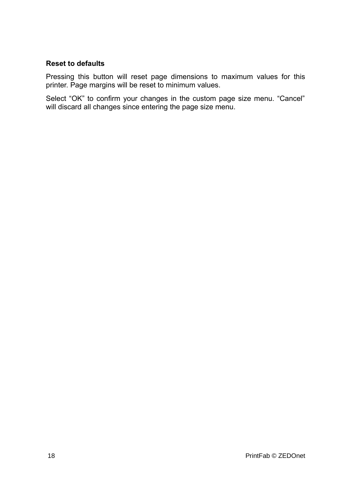#### **Reset to defaults**

Pressing this button will reset page dimensions to maximum values for this printer. Page margins will be reset to minimum values.

Select "OK" to confirm your changes in the custom page size menu. "Cancel" will discard all changes since entering the page size menu.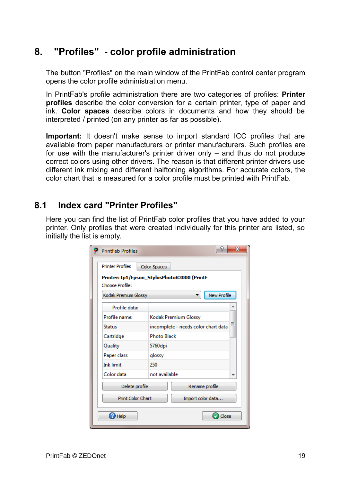## <span id="page-18-1"></span>**8. "Profiles" - color profile administration**

The button "Profiles" on the main window of the PrintFab control center program opens the color profile administration menu.

In PrintFab's profile administration there are two categories of profiles: **Printer profiles** describe the color conversion for a certain printer, type of paper and ink. **Color spaces** describe colors in documents and how they should be interpreted / printed (on any printer as far as possible).

**Important:** It doesn't make sense to import standard ICC profiles that are available from paper manufacturers or printer manufacturers. Such profiles are for use with the manufacturer's printer driver only – and thus do not produce correct colors using other drivers. The reason is that different printer drivers use different ink mixing and different halftoning algorithms. For accurate colors, the color chart that is measured for a color profile must be printed with PrintFab.

## **8.1 Index card "Printer Profiles"**

<span id="page-18-0"></span>Here you can find the list of PrintFab color profiles that you have added to your printer. Only profiles that were created individually for this printer are listed, so initially the list is empty.

| <b>PrintFab Profiles</b> | P                                           | $\mathbf{x}$ |  |
|--------------------------|---------------------------------------------|--------------|--|
| <b>Printer Profiles</b>  | <b>Color Spaces</b>                         |              |  |
| Choose Profile:          | Printer: tp1/Epson StylusPhotoR3000 (PrintF |              |  |
| Kodak Premium Glossy     | <b>New Profile</b>                          |              |  |
| Profile data:            |                                             |              |  |
| Profile name:            | Kodak Premium Glossy                        |              |  |
| <b>Status</b>            | incomplete - needs color chart data         | Ξ            |  |
| Cartridge                | <b>Photo Black</b>                          |              |  |
| Quality                  | 5760dpi<br>glossy                           |              |  |
| Paper class              |                                             |              |  |
| <b>Ink limit</b>         | 250                                         |              |  |
| Color data               | not available                               |              |  |
| Delete profile           | Rename profile                              |              |  |
| <b>Print Color Chart</b> | Import color data                           |              |  |
| Help                     | Close                                       |              |  |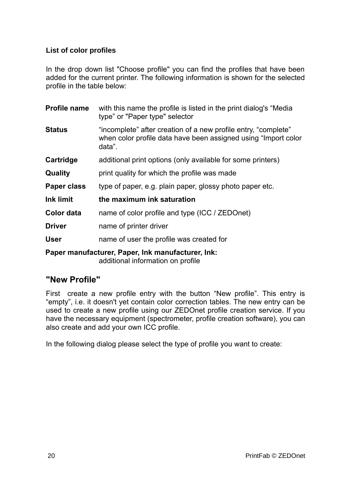#### **List of color profiles**

In the drop down list "Choose profile" you can find the profiles that have been added for the current printer. The following information is shown for the selected profile in the table below:

| <b>Profile name</b> | with this name the profile is listed in the print dialog's "Media<br>type" or "Paper type" selector                                        |
|---------------------|--------------------------------------------------------------------------------------------------------------------------------------------|
| <b>Status</b>       | "incomplete" after creation of a new profile entry, "complete"<br>when color profile data have been assigned using "Import color<br>data". |
| Cartridge           | additional print options (only available for some printers)                                                                                |
| Quality             | print quality for which the profile was made                                                                                               |
| Paper class         | type of paper, e.g. plain paper, glossy photo paper etc.                                                                                   |
| <b>Ink limit</b>    | the maximum ink saturation                                                                                                                 |
| Color data          | name of color profile and type (ICC / ZEDOnet)                                                                                             |
| <b>Driver</b>       | name of printer driver                                                                                                                     |
| <b>User</b>         | name of user the profile was created for                                                                                                   |
|                     | Paner manufacturer Paner Ink manufacturer Ink                                                                                              |

**Paper manufacturer, Paper, Ink manufacturer, Ink:**  additional information on profile

### **"New Profile"**

First create a new profile entry with the button "New profile". This entry is "empty", i.e. it doesn't yet contain color correction tables. The new entry can be used to create a new profile using our ZEDOnet profile creation service. If you have the necessary equipment (spectrometer, profile creation software), you can also create and add your own ICC profile.

In the following dialog please select the type of profile you want to create: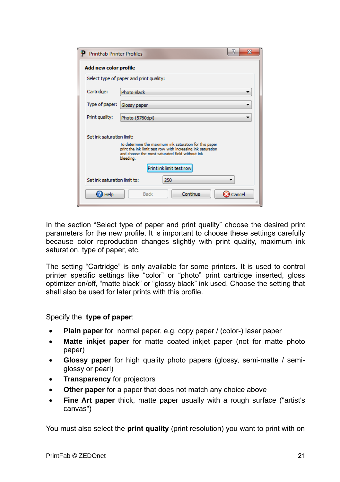| <b>PrintFab Printer Profiles</b> | x                                                                                                                                                                                     |  |  |  |  |  |  |
|----------------------------------|---------------------------------------------------------------------------------------------------------------------------------------------------------------------------------------|--|--|--|--|--|--|
|                                  | Add new color profile                                                                                                                                                                 |  |  |  |  |  |  |
|                                  | Select type of paper and print quality:                                                                                                                                               |  |  |  |  |  |  |
| Cartridge:                       | <b>Photo Black</b>                                                                                                                                                                    |  |  |  |  |  |  |
| Type of paper:                   | Glossy paper                                                                                                                                                                          |  |  |  |  |  |  |
| Print quality:                   | Photo (5760dpi)                                                                                                                                                                       |  |  |  |  |  |  |
| Set ink saturation limit:        | To determine the maximum ink saturation for this paper<br>print the ink limit test row with increasing ink saturation<br>and choose the most saturated field without ink<br>bleeding. |  |  |  |  |  |  |
|                                  | Print ink limit test row                                                                                                                                                              |  |  |  |  |  |  |
| Set ink saturation limit to:     | 250                                                                                                                                                                                   |  |  |  |  |  |  |
| Help                             | Continue<br><b>Back</b><br>Cancel                                                                                                                                                     |  |  |  |  |  |  |

In the section "Select type of paper and print quality" choose the desired print parameters for the new profile. It is important to choose these settings carefully because color reproduction changes slightly with print quality, maximum ink saturation, type of paper, etc.

The setting "Cartridge" is only available for some printers. It is used to control printer specific settings like "color" or "photo" print cartridge inserted, gloss optimizer on/off, "matte black" or "glossy black" ink used. Choose the setting that shall also be used for later prints with this profile.

#### Specify the **type of paper**:

- **Plain paper** for normal paper, e.g. copy paper / (color-) laser paper
- **Matte inkjet paper** for matte coated inkjet paper (not for matte photo paper)
- **Glossy paper** for high quality photo papers (glossy, semi-matte / semiglossy or pearl)
- **Transparency** for projectors
- **Other paper** for a paper that does not match any choice above
- **Fine Art paper** thick, matte paper usually with a rough surface ("artist's canvas")

You must also select the **print quality** (print resolution) you want to print with on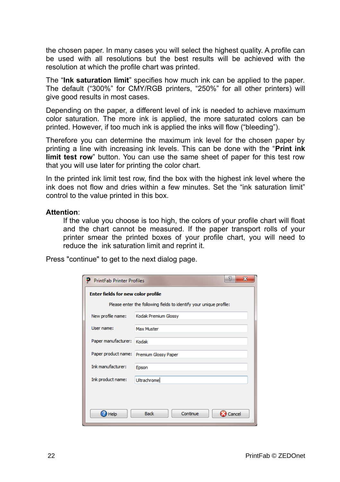the chosen paper. In many cases you will select the highest quality. A profile can be used with all resolutions but the best results will be achieved with the resolution at which the profile chart was printed.

The "**Ink saturation limit**" specifies how much ink can be applied to the paper. The default ("300%" for CMY/RGB printers, "250%" for all other printers) will give good results in most cases.

Depending on the paper, a different level of ink is needed to achieve maximum color saturation. The more ink is applied, the more saturated colors can be printed. However, if too much ink is applied the inks will flow ("bleeding").

Therefore you can determine the maximum ink level for the chosen paper by printing a line with increasing ink levels. This can be done with the "**Print ink limit test row**" button. You can use the same sheet of paper for this test row that you will use later for printing the color chart.

In the printed ink limit test row, find the box with the highest ink level where the ink does not flow and dries within a few minutes. Set the "ink saturation limit" control to the value printed in this box.

#### **Attention**:

If the value you choose is too high, the colors of your profile chart will float and the chart cannot be measured. If the paper transport rolls of your printer smear the printed boxes of your profile chart, you will need to reduce the ink saturation limit and reprint it.

Press "continue" to get to the next dialog page.

|                                                                    | P<br>$\overline{\mathbf{x}}$<br><b>PrintFab Printer Profiles</b> |  |  |  |  |  |  |
|--------------------------------------------------------------------|------------------------------------------------------------------|--|--|--|--|--|--|
| <b>Enter fields for new color profile</b>                          |                                                                  |  |  |  |  |  |  |
| Please enter the following fields to identify your unique profile: |                                                                  |  |  |  |  |  |  |
| New profile name:                                                  | Kodak Premium Glossy                                             |  |  |  |  |  |  |
| Liser name:                                                        | <b>Max Muster</b>                                                |  |  |  |  |  |  |
| Paper manufacturer:                                                | Kodak                                                            |  |  |  |  |  |  |
|                                                                    | Paper product name: Premium Glossy Paper                         |  |  |  |  |  |  |
| <b>Ink</b> manufacturer:                                           | Epson                                                            |  |  |  |  |  |  |
| Ink product name:                                                  | Ultrachrome                                                      |  |  |  |  |  |  |
|                                                                    |                                                                  |  |  |  |  |  |  |
| Help                                                               | Continue<br><b>Back</b><br>Cancel                                |  |  |  |  |  |  |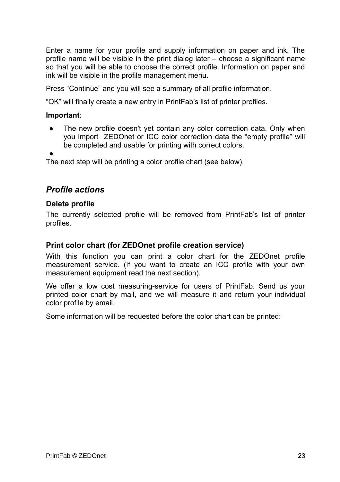Enter a name for your profile and supply information on paper and ink. The profile name will be visible in the print dialog later – choose a significant name so that you will be able to choose the correct profile. Information on paper and ink will be visible in the profile management menu.

Press "Continue" and you will see a summary of all profile information.

"OK" will finally create a new entry in PrintFab's list of printer profiles.

#### **Important**:

- The new profile doesn't yet contain any color correction data. Only when you import ZEDOnet or ICC color correction data the "empty profile" will be completed and usable for printing with correct colors.
- ●

The next step will be printing a color profile chart (see below).

#### *Profile actions*

#### **Delete profile**

The currently selected profile will be removed from PrintFab's list of printer profiles.

#### <span id="page-22-0"></span>**Print color chart (for ZEDOnet profile creation service)**

With this function you can print a color chart for the ZEDOnet profile measurement service. (If you want to create an ICC profile with your own measurement equipment read the next section).

We offer a low cost measuring-service for users of PrintFab. Send us your printed color chart by mail, and we will measure it and return your individual color profile by email.

Some information will be requested before the color chart can be printed: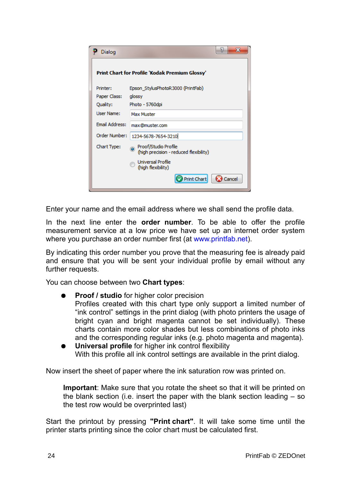| Dialog                | x                                                              |
|-----------------------|----------------------------------------------------------------|
|                       | <b>Print Chart for Profile 'Kodak Premium Glossy'</b>          |
| Printer:              | Epson StylusPhotoR3000 (PrintFab)                              |
| Paper Class:          | glossy                                                         |
| Quality:              | Photo - 5760dpi                                                |
| <b>User Name:</b>     | Max Muster                                                     |
| <b>Email Address:</b> | max@muster.com                                                 |
| Order Number:         | 1234-5678-7654-3210                                            |
| Chart Type:           | Proof/Studio Profile<br>(high precision - reduced flexibility) |
|                       | <b>Universal Profile</b><br>(high flexibility)                 |
|                       | Print Chart<br>Cancel                                          |

Enter your name and the email address where we shall send the profile data.

In the next line enter the **order number**. To be able to offer the profile measurement service at a low price we have set up an internet order system where you purchase an order number first (at [www.printfab.net\)](http://www.printfab.net/).

By indicating this order number you prove that the measuring fee is already paid and ensure that you will be sent your individual profile by email without any further requests.

You can choose between two **Chart types**:

- **Proof / studio** for higher color precision Profiles created with this chart type only support a limited number of "ink control" settings in the print dialog (with photo printers the usage of bright cyan and bright magenta cannot be set individually). These charts contain more color shades but less combinations of photo inks and the corresponding regular inks (e.g. photo magenta and magenta).
- **Universal profile** for higher ink control flexibility With this profile all ink control settings are available in the print dialog.

Now insert the sheet of paper where the ink saturation row was printed on.

**Important**: Make sure that you rotate the sheet so that it will be printed on the blank section (i.e. insert the paper with the blank section leading – so the test row would be overprinted last)

Start the printout by pressing **"Print chart"**. It will take some time until the printer starts printing since the color chart must be calculated first.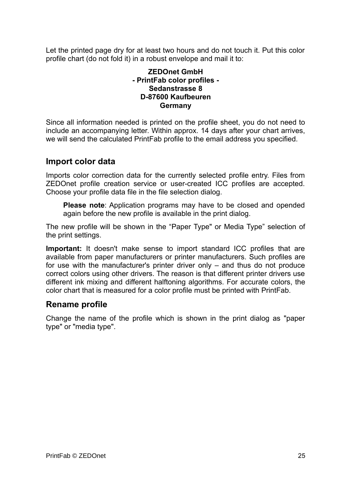Let the printed page dry for at least two hours and do not touch it. Put this color profile chart (do not fold it) in a robust envelope and mail it to:

#### **ZEDOnet GmbH - PrintFab color profiles - Sedanstrasse 8 D-87600 Kaufbeuren Germany**

Since all information needed is printed on the profile sheet, you do not need to include an accompanying letter. Within approx. 14 days after your chart arrives, we will send the calculated PrintFab profile to the email address you specified.

### **Import color data**

Imports color correction data for the currently selected profile entry. Files from ZEDOnet profile creation service or user-created ICC profiles are accepted. Choose your profile data file in the file selection dialog.

**Please note**: Application programs may have to be closed and opended again before the new profile is available in the print dialog.

The new profile will be shown in the "Paper Type" or Media Type" selection of the print settings.

**Important:** It doesn't make sense to import standard ICC profiles that are available from paper manufacturers or printer manufacturers. Such profiles are for use with the manufacturer's printer driver only – and thus do not produce correct colors using other drivers. The reason is that different printer drivers use different ink mixing and different halftoning algorithms. For accurate colors, the color chart that is measured for a color profile must be printed with PrintFab.

### **Rename profile**

Change the name of the profile which is shown in the print dialog as "paper type" or "media type".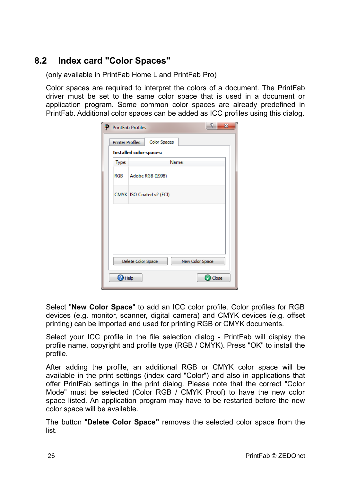## **8.2 Index card "Color Spaces"**

<span id="page-25-0"></span>(only available in PrintFab Home L and PrintFab Pro)

Color spaces are required to interpret the colors of a document. The PrintFab driver must be set to the same color space that is used in a document or application program. Some common color spaces are already predefined in PrintFab. Additional color spaces can be added as ICC profiles using this dialog.

| ₽     | 2<br>$\mathbf{x}$<br><b>PrintFab Profiles</b>  |  |  |  |  |  |
|-------|------------------------------------------------|--|--|--|--|--|
|       | <b>Color Spaces</b><br><b>Printer Profiles</b> |  |  |  |  |  |
|       | <b>Installed color spaces:</b>                 |  |  |  |  |  |
| Type: | Name:                                          |  |  |  |  |  |
| RGB   | Adobe RGB (1998)                               |  |  |  |  |  |
|       | CMYK ISO Coated v2 (ECI)                       |  |  |  |  |  |
|       |                                                |  |  |  |  |  |
|       |                                                |  |  |  |  |  |
|       |                                                |  |  |  |  |  |
|       | New Color Space<br>Delete Color Space          |  |  |  |  |  |
|       | Close<br>Help                                  |  |  |  |  |  |

Select "**New Color Space**" to add an ICC color profile. Color profiles for RGB devices (e.g. monitor, scanner, digital camera) and CMYK devices (e.g. offset printing) can be imported and used for printing RGB or CMYK documents.

Select your ICC profile in the file selection dialog - PrintFab will display the profile name, copyright and profile type (RGB / CMYK). Press "OK" to install the profile.

After adding the profile, an additional RGB or CMYK color space will be available in the print settings (index card "Color") and also in applications that offer PrintFab settings in the print dialog. Please note that the correct "Color Mode" must be selected (Color RGB / CMYK Proof) to have the new color space listed. An application program may have to be restarted before the new color space will be available.

The button "**Delete Color Space"** removes the selected color space from the list.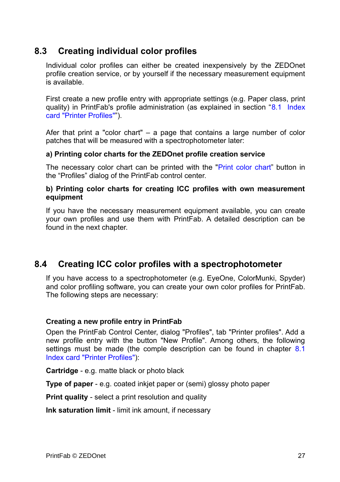## **8.3 Creating individual color profiles**

<span id="page-26-1"></span>Individual color profiles can either be created inexpensively by the ZEDOnet profile creation service, or by yourself if the necessary measurement equipment is available.

First create a new profile entry with appropriate settings (e.g. Paper class, print quality) in PrintFab's profile administration (as explained in section "[8.1 Index](#page-18-0) [card "Printer Profiles""](#page-18-0)).

Afer that print a "color chart" – a page that contains a large number of color patches that will be measured with a spectrophotometer later:

#### **a) Printing color charts for the ZEDOnet profile creation service**

The necessary color chart can be printed with the ["Print color chart"](#page-22-0) button in the "Profiles" dialog of the PrintFab control center.

#### **b) Printing color charts for creating ICC profiles with own measurement equipment**

If you have the necessary measurement equipment available, you can create your own profiles and use them with PrintFab. A detailed description can be found in the next chapter.

## **8.4 Creating ICC color profiles with a spectrophotometer**

<span id="page-26-0"></span>If you have access to a spectrophotometer (e.g. EyeOne, ColorMunki, Spyder) and color profiling software, you can create your own color profiles for PrintFab. The following steps are necessary:

#### **Creating a new profile entry in PrintFab**

Open the PrintFab Control Center, dialog "Profiles", tab "Printer profiles". Add a new profile entry with the button "New Profile". Among others, the following settings must be made (the comple description can be found in chapter [8.1](#page-18-0) [Index card "Printer Profiles"\)](#page-18-0):

**Cartridge** - e.g. matte black or photo black

**Type of paper** - e.g. coated inkjet paper or (semi) glossy photo paper

**Print quality** - select a print resolution and quality

**Ink saturation limit** - limit ink amount, if necessary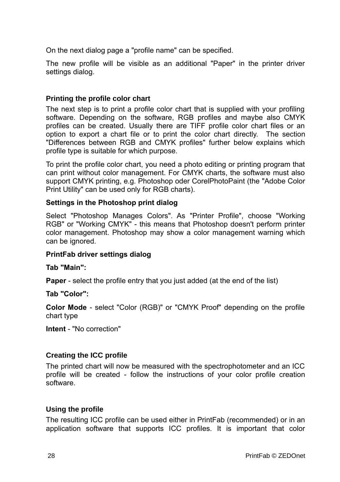On the next dialog page a "profile name" can be specified.

The new profile will be visible as an additional "Paper" in the printer driver settings dialog.

#### **Printing the profile color chart**

The next step is to print a profile color chart that is supplied with your profiling software. Depending on the software, RGB profiles and maybe also CMYK profiles can be created. Usually there are TIFF profile color chart files or an option to export a chart file or to print the color chart directly. The section "Differences between RGB and CMYK profiles" further below explains which profile type is suitable for which purpose.

To print the profile color chart, you need a photo editing or printing program that can print without color management. For CMYK charts, the software must also support CMYK printing, e.g. Photoshop oder CorelPhotoPaint (the "Adobe Color Print Utility" can be used only for RGB charts).

#### **Settings in the Photoshop print dialog**

Select "Photoshop Manages Colors". As "Printer Profile", choose "Working RGB" or "Working CMYK" - this means that Photoshop doesn't perform printer color management. Photoshop may show a color management warning which can be ignored.

#### **PrintFab driver settings dialog**

#### **Tab "Main":**

**Paper** - select the profile entry that you just added (at the end of the list)

#### **Tab "Color":**

**Color Mode** - select "Color (RGB)" or "CMYK Proof" depending on the profile chart type

**Intent** - "No correction"

#### **Creating the ICC profile**

The printed chart will now be measured with the spectrophotometer and an ICC profile will be created - follow the instructions of your color profile creation software.

#### **Using the profile**

The resulting ICC profile can be used either in PrintFab (recommended) or in an application software that supports ICC profiles. It is important that color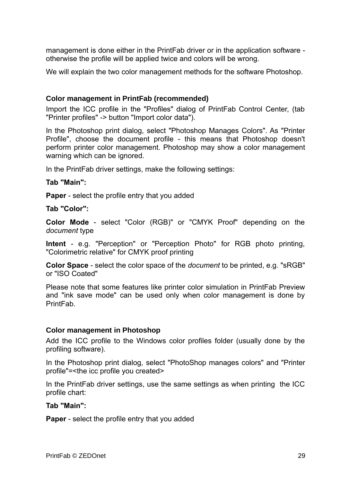management is done either in the PrintFab driver or in the application software otherwise the profile will be applied twice and colors will be wrong.

We will explain the two color management methods for the software Photoshop.

#### **Color management in PrintFab (recommended)**

Import the ICC profile in the "Profiles" dialog of PrintFab Control Center, (tab "Printer profiles" -> button "Import color data").

In the Photoshop print dialog, select "Photoshop Manages Colors". As "Printer Profile", choose the document profile - this means that Photoshop doesn't perform printer color management. Photoshop may show a color management warning which can be ignored.

In the PrintFab driver settings, make the following settings:

#### **Tab "Main":**

**Paper** - select the profile entry that you added

**Tab "Color":**

**Color Mode** - select "Color (RGB)" or "CMYK Proof" depending on the *document* type

**Intent** - e.g. "Perception" or "Perception Photo" for RGB photo printing, "Colorimetric relative" for CMYK proof printing

**Color Space** - select the color space of the *document* to be printed, e.g. "sRGB" or "ISO Coated"

Please note that some features like printer color simulation in PrintFab Preview and "ink save mode" can be used only when color management is done by PrintFab.

#### **Color management in Photoshop**

Add the ICC profile to the Windows color profiles folder (usually done by the profiling software).

In the Photoshop print dialog, select "PhotoShop manages colors" and "Printer profile"=<the icc profile you created>

In the PrintFab driver settings, use the same settings as when printing the ICC profile chart:

#### **Tab "Main":**

**Paper** - select the profile entry that you added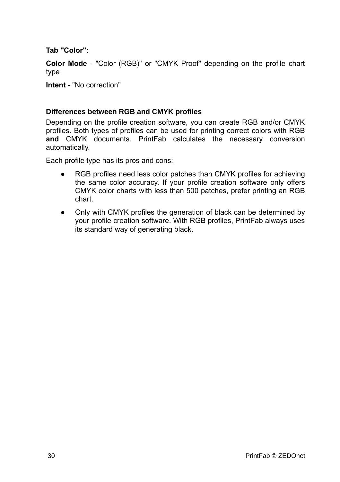#### **Tab "Color":**

**Color Mode** - "Color (RGB)" or "CMYK Proof" depending on the profile chart type

**Intent** - "No correction"

#### **Differences between RGB and CMYK profiles**

Depending on the profile creation software, you can create RGB and/or CMYK profiles. Both types of profiles can be used for printing correct colors with RGB **and** CMYK documents. PrintFab calculates the necessary conversion automatically.

Each profile type has its pros and cons:

- RGB profiles need less color patches than CMYK profiles for achieving the same color accuracy. If your profile creation software only offers CMYK color charts with less than 500 patches, prefer printing an RGB chart.
- Only with CMYK profiles the generation of black can be determined by your profile creation software. With RGB profiles, PrintFab always uses its standard way of generating black.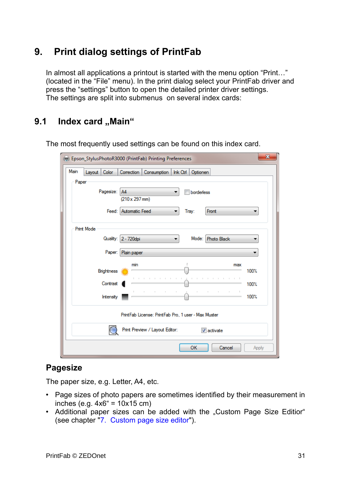## <span id="page-30-1"></span>**9. Print dialog settings of PrintFab**

In almost all applications a printout is started with the menu option "Print…" (located in the "File" menu). In the print dialog select your PrintFab driver and press the "settings" button to open the detailed printer driver settings. The settings are split into submenus on several index cards:

## <span id="page-30-0"></span>9.1 Index card "Main"

| $\mathbf{x}$<br>(Fig. Epson_StylusPhotoR3000 (PrintFab) Printing Preferences   |                                                       |  |  |  |  |
|--------------------------------------------------------------------------------|-------------------------------------------------------|--|--|--|--|
| Main<br>Color<br>Correction<br>Consumption<br>Ink Ctrl<br>Layout  <br>Optionen |                                                       |  |  |  |  |
| Paper                                                                          |                                                       |  |  |  |  |
| Pagesize:                                                                      | <b>A4</b><br>borderless<br>▼<br>$(210 \times 297$ mm) |  |  |  |  |
|                                                                                |                                                       |  |  |  |  |
|                                                                                | Feed: Automatic Feed<br>Front<br>Tray:<br>▼<br>▼      |  |  |  |  |
| <b>Print Mode</b>                                                              |                                                       |  |  |  |  |
|                                                                                | Quality: 2 - 720dpi<br>Mode: Photo Black              |  |  |  |  |
| Paper:                                                                         | Plain paper                                           |  |  |  |  |
|                                                                                | min<br>max                                            |  |  |  |  |
| <b>Brightness</b>                                                              | 100%<br><b>Contract</b>                               |  |  |  |  |
| Contrast                                                                       | 100%<br>$\mathbb{R}^2$                                |  |  |  |  |
| Intensity                                                                      | $\mathbb{R}^n$<br>the contract of the con-<br>100%    |  |  |  |  |
|                                                                                | PrintFab License: PrintFab Pro, 1 user - Max Muster   |  |  |  |  |
|                                                                                | Print Preview / Layout Editor:<br>$\sqrt{ }$ activate |  |  |  |  |
|                                                                                | OK<br>Cancel<br>Apply                                 |  |  |  |  |

The most frequently used settings can be found on this index card.

## **Pagesize**

The paper size, e.g. Letter, A4, etc.

- Page sizes of photo papers are sometimes identified by their measurement in inches (e.g.  $4x6'' = 10x15$  cm)
- Additional paper sizes can be added with the "Custom Page Size Editior" (see chapter ["7. Custom page size editor"](#page-14-0)).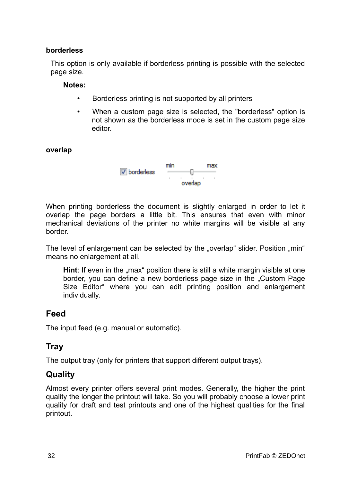#### **borderless**

This option is only available if borderless printing is possible with the selected page size.

#### **Notes:**

- Borderless printing is not supported by all printers
- When a custom page size is selected, the "borderless" option is not shown as the borderless mode is set in the custom page size editor.

#### **overlap**



When printing borderless the document is slightly enlarged in order to let it overlap the page borders a little bit. This ensures that even with minor mechanical deviations of the printer no white margins will be visible at any border.

The level of enlargement can be selected by the "overlap" slider. Position "min" means no enlargement at all.

**Hint**: If even in the "max" position there is still a white margin visible at one border, you can define a new borderless page size in the "Custom Page Size Editor" where you can edit printing position and enlargement individually.

#### **Feed**

The input feed (e.g. manual or automatic).

### **Tray**

The output tray (only for printers that support different output trays).

## **Quality**

Almost every printer offers several print modes. Generally, the higher the print quality the longer the printout will take. So you will probably choose a lower print quality for draft and test printouts and one of the highest qualities for the final printout.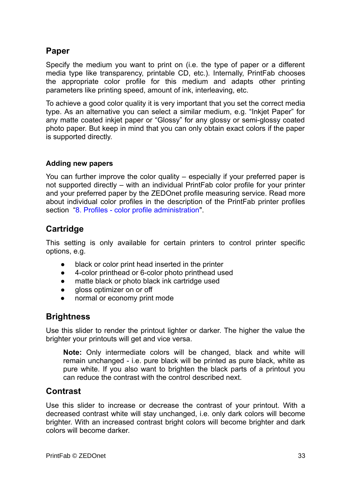## **Paper**

Specify the medium you want to print on (i.e. the type of paper or a different media type like transparency, printable CD, etc.). Internally, PrintFab chooses the appropriate color profile for this medium and adapts other printing parameters like printing speed, amount of ink, interleaving, etc.

To achieve a good color quality it is very important that you set the correct media type. As an alternative you can select a similar medium, e.g. "Inkjet Paper" for any matte coated inkjet paper or "Glossy" for any glossy or semi-glossy coated photo paper. But keep in mind that you can only obtain exact colors if the paper is supported directly.

#### **Adding new papers**

You can further improve the color quality – especially if your preferred paper is not supported directly – with an individual PrintFab color profile for your printer and your preferred paper by the ZEDOnet profile measuring service. Read more about individual color profiles in the description of the PrintFab printer profiles section ["8. Profiles - color profile administration"](#page-18-1).

## **Cartridge**

This setting is only available for certain printers to control printer specific options, e.g.

- black or color print head inserted in the printer
- 4-color printhead or 6-color photo printhead used
- matte black or photo black ink cartridge used
- gloss optimizer on or off
- normal or economy print mode

## **Brightness**

Use this slider to render the printout lighter or darker. The higher the value the brighter your printouts will get and vice versa.

**Note:** Only intermediate colors will be changed, black and white will remain unchanged - i.e. pure black will be printed as pure black, white as pure white. If you also want to brighten the black parts of a printout you can reduce the contrast with the control described next.

### **Contrast**

Use this slider to increase or decrease the contrast of your printout. With a decreased contrast white will stay unchanged, i.e. only dark colors will become brighter. With an increased contrast bright colors will become brighter and dark colors will become darker.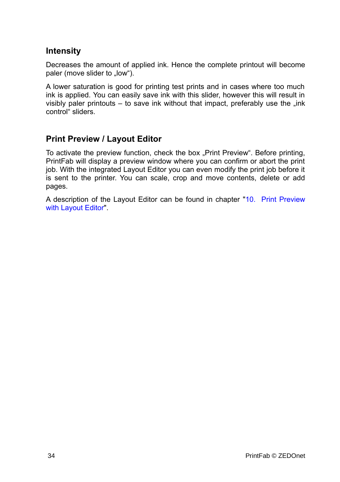### **Intensity**

Decreases the amount of applied ink. Hence the complete printout will become paler (move slider to ..low").

A lower saturation is good for printing test prints and in cases where too much ink is applied. You can easily save ink with this slider, however this will result in visibly paler printouts  $-$  to save ink without that impact, preferably use the  $\overline{\phantom{a}}$  ink control" sliders.

### **Print Preview / Layout Editor**

To activate the preview function, check the box "Print Preview". Before printing, PrintFab will display a preview window where you can confirm or abort the print job. With the integrated Layout Editor you can even modify the print job before it is sent to the printer. You can scale, crop and move contents, delete or add pages.

A description of the Layout Editor can be found in chapter ["10. Print Preview](#page-55-0) [with Layout Editor"](#page-55-0).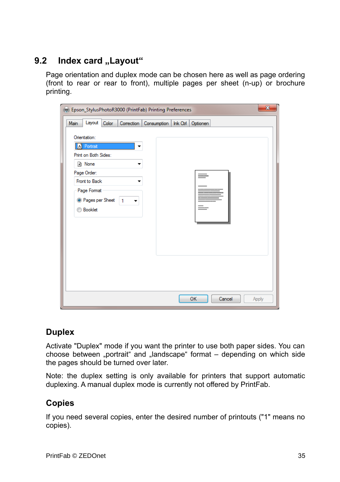## **9.2** Index card "Layout"

<span id="page-34-0"></span>Page orientation and duplex mode can be chosen here as well as page ordering (front to rear or rear to front), multiple pages per sheet (n-up) or brochure printing.

| (Fig. Epson_StylusPhotoR3000 (PrintFab) Printing Preferences | $\mathbf{x}$           |
|--------------------------------------------------------------|------------------------|
| Layout<br>Color<br>Correction   Consumption  <br>Main        | $lnk$ Ctrl<br>Optionen |
| Orientation:                                                 |                        |
| <b>X</b> Portrait<br>Print on Both Sides:                    |                        |
| h None                                                       |                        |
| Page Order:                                                  |                        |
| Front to Back<br>Page Format                                 |                        |
| <sup>O</sup> Pages per Sheet<br>1                            |                        |
| <b>Booklet</b>                                               |                        |
|                                                              |                        |
|                                                              |                        |
|                                                              |                        |
|                                                              |                        |
|                                                              |                        |
|                                                              |                        |
|                                                              | OK<br>Cancel<br>Apply  |

## **Duplex**

Activate "Duplex" mode if you want the printer to use both paper sides. You can choose between "portrait" and "landscape" format – depending on which side the pages should be turned over later.

Note: the duplex setting is only available for printers that support automatic duplexing. A manual duplex mode is currently not offered by PrintFab.

## **Copies**

If you need several copies, enter the desired number of printouts ("1" means no copies).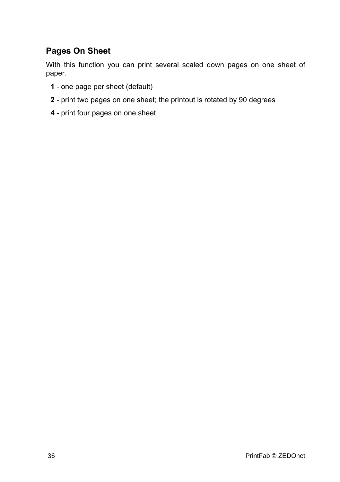## **Pages On Sheet**

With this function you can print several scaled down pages on one sheet of paper.

- **1** one page per sheet (default)
- **2** print two pages on one sheet; the printout is rotated by 90 degrees
- **4**  print four pages on one sheet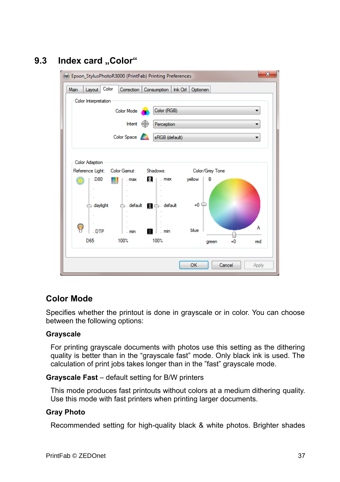## 9.3 Index card ..Color"

<span id="page-36-0"></span>

## **Color Mode**

Specifies whether the printout is done in grayscale or in color. You can choose between the following options:

#### **Grayscale**

For printing grayscale documents with photos use this setting as the dithering quality is better than in the "grayscale fast" mode. Only black ink is used. The calculation of print jobs takes longer than in the "fast" grayscale mode.

#### **Grayscale Fast** – default setting for B/W printers

This mode produces fast printouts without colors at a medium dithering quality. Use this mode with fast printers when printing larger documents.

#### **Gray Photo**

Recommended setting for high-quality black & white photos. Brighter shades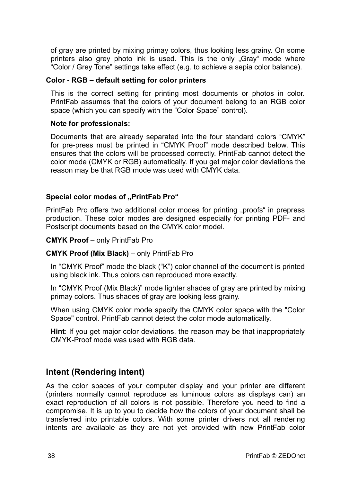of gray are printed by mixing primay colors, thus looking less grainy. On some printers also grey photo ink is used. This is the only "Gray" mode where "Color / Grey Tone" settings take effect (e.g. to achieve a sepia color balance).

#### **Color - RGB – default setting for color printers**

This is the correct setting for printing most documents or photos in color. PrintFab assumes that the colors of your document belong to an RGB color space (which you can specify with the "Color Space" control).

#### **Note for professionals:**

Documents that are already separated into the four standard colors "CMYK" for pre-press must be printed in "CMYK Proof" mode described below. This ensures that the colors will be processed correctly. PrintFab cannot detect the color mode (CMYK or RGB) automatically. If you get major color deviations the reason may be that RGB mode was used with CMYK data.

#### **Special color modes of "PrintFab Pro"**

PrintFab Pro offers two additional color modes for printing "proofs" in prepress production. These color modes are designed especially for printing PDF- and Postscript documents based on the CMYK color model.

#### **CMYK Proof** – only PrintFab Pro

#### **CMYK Proof (Mix Black)** – only PrintFab Pro

In "CMYK Proof" mode the black ("K") color channel of the document is printed using black ink. Thus colors can reproduced more exactly.

In "CMYK Proof (Mix Black)" mode lighter shades of gray are printed by mixing primay colors. Thus shades of gray are looking less grainy.

When using CMYK color mode specify the CMYK color space with the "Color Space" control. PrintFab cannot detect the color mode automatically.

**Hint**: If you get major color deviations, the reason may be that inappropriately CMYK-Proof mode was used with RGB data.

### **Intent (Rendering intent)**

As the color spaces of your computer display and your printer are different (printers normally cannot reproduce as luminous colors as displays can) an exact reproduction of all colors is not possible. Therefore you need to find a compromise. It is up to you to decide how the colors of your document shall be transferred into printable colors. With some printer drivers not all rendering intents are available as they are not yet provided with new PrintFab color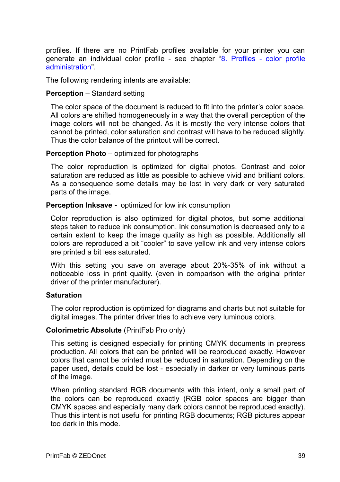profiles. If there are no PrintFab profiles available for your printer you can generate an individual color profile - see chapter ["8. Profiles - color profile](#page-18-1) [administration"](#page-18-1).

The following rendering intents are available:

#### **Perception** – Standard setting

The color space of the document is reduced to fit into the printer's color space. All colors are shifted homogeneously in a way that the overall perception of the image colors will not be changed. As it is mostly the very intense colors that cannot be printed, color saturation and contrast will have to be reduced slightly. Thus the color balance of the printout will be correct.

#### **Perception Photo** – optimized for photographs

The color reproduction is optimized for digital photos. Contrast and color saturation are reduced as little as possible to achieve vivid and brilliant colors. As a consequence some details may be lost in very dark or very saturated parts of the image.

#### **Perception Inksave -** optimized for low ink consumption

Color reproduction is also optimized for digital photos, but some additional steps taken to reduce ink consumption. Ink consumption is decreased only to a certain extent to keep the image quality as high as possible. Additionally all colors are reproduced a bit "cooler" to save yellow ink and very intense colors are printed a bit less saturated.

With this setting you save on average about 20%-35% of ink without a noticeable loss in print quality. (even in comparison with the original printer driver of the printer manufacturer).

#### **Saturation**

The color reproduction is optimized for diagrams and charts but not suitable for digital images. The printer driver tries to achieve very luminous colors.

#### **Colorimetric Absolute** (PrintFab Pro only)

This setting is designed especially for printing CMYK documents in prepress production. All colors that can be printed will be reproduced exactly. However colors that cannot be printed must be reduced in saturation. Depending on the paper used, details could be lost - especially in darker or very luminous parts of the image.

When printing standard RGB documents with this intent, only a small part of the colors can be reproduced exactly (RGB color spaces are bigger than CMYK spaces and especially many dark colors cannot be reproduced exactly). Thus this intent is not useful for printing RGB documents; RGB pictures appear too dark in this mode.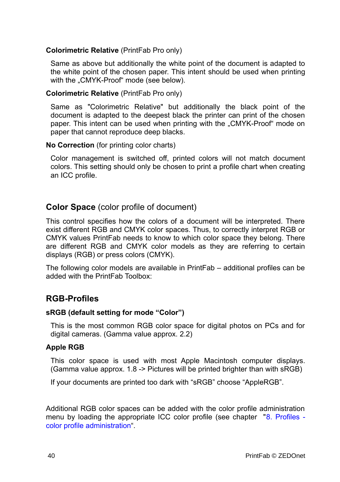#### **Colorimetric Relative** (PrintFab Pro only)

Same as above but additionally the white point of the document is adapted to the white point of the chosen paper. This intent should be used when printing with the "CMYK-Proof" mode (see below).

#### **Colorimetric Relative** (PrintFab Pro only)

Same as "Colorimetric Relative" but additionally the black point of the document is adapted to the deepest black the printer can print of the chosen paper. This intent can be used when printing with the "CMYK-Proof" mode on paper that cannot reproduce deep blacks.

#### **No Correction** (for printing color charts)

Color management is switched off, printed colors will not match document colors. This setting should only be chosen to print a profile chart when creating an ICC profile.

#### **Color Space** (color profile of document)

This control specifies how the colors of a document will be interpreted. There exist different RGB and CMYK color spaces. Thus, to correctly interpret RGB or CMYK values PrintFab needs to know to which color space they belong. There are different RGB and CMYK color models as they are referring to certain displays (RGB) or press colors (CMYK).

The following color models are available in PrintFab – additional profiles can be added with the PrintFab Toolbox:

### **RGB-Profiles**

#### **sRGB (default setting for mode "Color")**

This is the most common RGB color space for digital photos on PCs and for digital cameras. (Gamma value approx. 2.2)

#### **Apple RGB**

This color space is used with most Apple Macintosh computer displays. (Gamma value approx. 1.8 -> Pictures will be printed brighter than with sRGB)

If your documents are printed too dark with "sRGB" choose "AppleRGB".

Additional RGB color spaces can be added with the color profile administration menu by loading the appropriate ICC color profile (see chapter ["8. Profiles](#page-18-1)  [color profile administration"](#page-18-1).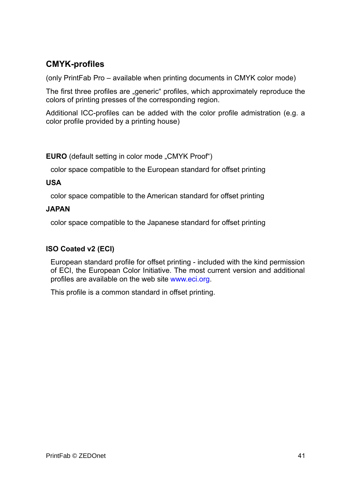## **CMYK-profiles**

(only PrintFab Pro – available when printing documents in CMYK color mode)

The first three profiles are "generic" profiles, which approximately reproduce the colors of printing presses of the corresponding region.

Additional ICC-profiles can be added with the color profile admistration (e.g. a color profile provided by a printing house)

**EURO** (default setting in color mode "CMYK Proof")

color space compatible to the European standard for offset printing

#### **USA**

color space compatible to the American standard for offset printing

#### **JAPAN**

color space compatible to the Japanese standard for offset printing

#### **ISO Coated v2 (ECI)**

European standard profile for offset printing - included with the kind permission of ECI, the European Color Initiative. The most current version and additional profiles are available on the web site www.eci.org.

This profile is a common standard in offset printing.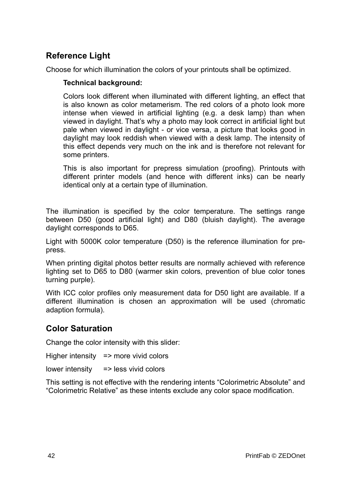## **Reference Light**

Choose for which illumination the colors of your printouts shall be optimized.

#### **Technical background:**

Colors look different when illuminated with different lighting, an effect that is also known as color metamerism. The red colors of a photo look more intense when viewed in artificial lighting (e.g. a desk lamp) than when viewed in daylight. That's why a photo may look correct in artificial light but pale when viewed in daylight - or vice versa, a picture that looks good in daylight may look reddish when viewed with a desk lamp. The intensity of this effect depends very much on the ink and is therefore not relevant for some printers.

This is also important for prepress simulation (proofing). Printouts with different printer models (and hence with different inks) can be nearly identical only at a certain type of illumination.

The illumination is specified by the color temperature. The settings range between D50 (good artificial light) and D80 (bluish daylight). The average daylight corresponds to D65.

Light with 5000K color temperature (D50) is the reference illumination for prepress.

When printing digital photos better results are normally achieved with reference lighting set to D65 to D80 (warmer skin colors, prevention of blue color tones turning purple).

With ICC color profiles only measurement data for D50 light are available. If a different illumination is chosen an approximation will be used (chromatic adaption formula).

## **Color Saturation**

Change the color intensity with this slider:

Higher intensity => more vivid colors

lower intensity => less vivid colors

This setting is not effective with the rendering intents "Colorimetric Absolute" and "Colorimetric Relative" as these intents exclude any color space modification.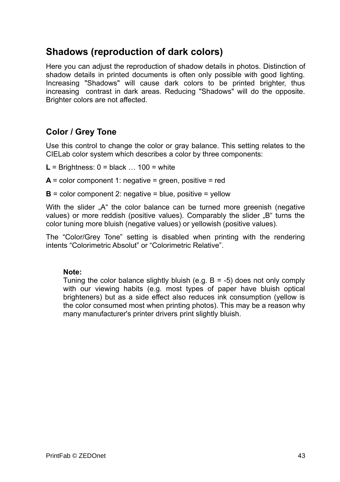## **Shadows (reproduction of dark colors)**

Here you can adjust the reproduction of shadow details in photos. Distinction of shadow details in printed documents is often only possible with good lighting. Increasing "Shadows" will cause dark colors to be printed brighter, thus increasing contrast in dark areas. Reducing "Shadows" will do the opposite. Brighter colors are not affected.

## **Color / Grey Tone**

Use this control to change the color or gray balance. This setting relates to the CIELab color system which describes a color by three components:

- $L =$  Brightness:  $0 =$  black ... 100 = white
- $A =$  color component 1: negative  $=$  green, positive  $=$  red
- $B =$  color component 2: negative  $=$  blue, positive  $=$  vellow

With the slider ..A" the color balance can be turned more greenish (negative values) or more reddish (positive values). Comparably the slider "B" turns the color tuning more bluish (negative values) or yellowish (positive values).

The "Color/Grey Tone" setting is disabled when printing with the rendering intents "Colorimetric Absolut" or "Colorimetric Relative".

#### **Note:**

Tuning the color balance slightly bluish (e.g.  $B = -5$ ) does not only comply with our viewing habits (e.g. most types of paper have bluish optical brighteners) but as a side effect also reduces ink consumption (yellow is the color consumed most when printing photos). This may be a reason why many manufacturer's printer drivers print slightly bluish.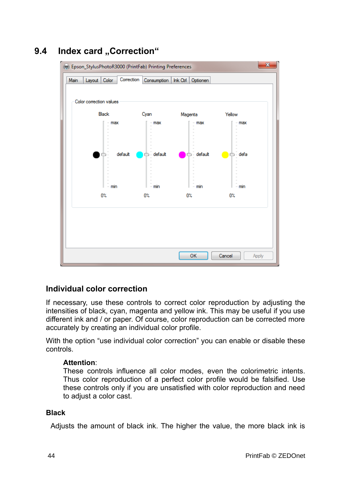<span id="page-43-0"></span>

## **9.4 Index card ..Correction"**

### **Individual color correction**

If necessary, use these controls to correct color reproduction by adjusting the intensities of black, cyan, magenta and yellow ink. This may be useful if you use different ink and / or paper. Of course, color reproduction can be corrected more accurately by creating an individual color profile.

With the option "use individual color correction" you can enable or disable these controls.

#### **Attention**:

These controls influence all color modes, even the colorimetric intents. Thus color reproduction of a perfect color profile would be falsified. Use these controls only if you are unsatisfied with color reproduction and need to adjust a color cast.

#### **Black**

Adjusts the amount of black ink. The higher the value, the more black ink is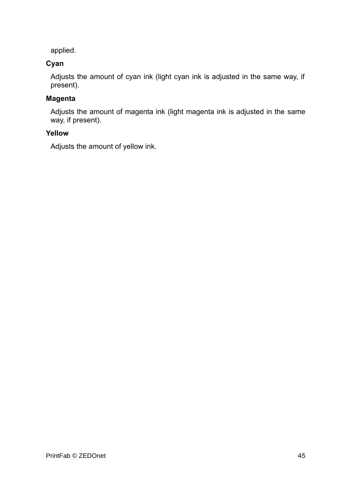applied.

#### **Cyan**

Adjusts the amount of cyan ink (light cyan ink is adjusted in the same way, if present).

## **Magenta**

Adjusts the amount of magenta ink (light magenta ink is adjusted in the same way, if present).

#### **Yellow**

Adjusts the amount of yellow ink.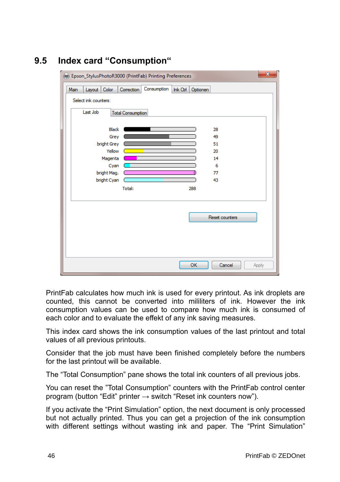<span id="page-45-0"></span>

| $\overline{\mathbf{x}}$<br>(Fig. Epson_StylusPhotoR3000 (PrintFab) Printing Preferences |                      |                       |                          |             |          |          |                |       |
|-----------------------------------------------------------------------------------------|----------------------|-----------------------|--------------------------|-------------|----------|----------|----------------|-------|
| Main                                                                                    | Layout Color         |                       | Correction               | Consumption | Ink Ctrl | Optionen |                |       |
|                                                                                         | Select ink counters: |                       |                          |             |          |          |                |       |
|                                                                                         | Last Job             |                       | <b>Total Consumption</b> |             |          |          |                |       |
|                                                                                         |                      | <b>Black</b>          |                          |             |          |          | 28             |       |
|                                                                                         |                      | Grey                  |                          |             |          |          | 49             |       |
|                                                                                         |                      | bright Grey<br>Yellow |                          |             |          |          | 51<br>20       |       |
|                                                                                         |                      | Magenta               |                          |             |          |          | 14             |       |
|                                                                                         |                      | Cyan                  | a ka                     |             |          |          | 6              |       |
|                                                                                         |                      | bright Mag.           |                          |             |          |          | 77             |       |
|                                                                                         |                      | bright Cyan           |                          |             |          |          | 43             |       |
|                                                                                         |                      |                       | Total:                   |             |          | 288      |                |       |
|                                                                                         |                      |                       |                          |             |          |          |                |       |
|                                                                                         |                      |                       |                          |             |          |          | Reset counters |       |
|                                                                                         |                      |                       |                          |             |          |          |                |       |
|                                                                                         |                      |                       |                          |             |          |          |                |       |
|                                                                                         |                      |                       |                          |             |          |          |                |       |
|                                                                                         |                      |                       |                          |             |          | OK       | Cancel         | Apply |

## **9.5 Index card "Consumption"**

PrintFab calculates how much ink is used for every printout. As ink droplets are counted, this cannot be converted into mililiters of ink. However the ink consumption values can be used to compare how much ink is consumed of each color and to evaluate the effekt of any ink saving measures.

This index card shows the ink consumption values of the last printout and total values of all previous printouts.

Consider that the job must have been finished completely before the numbers for the last printout will be available.

The "Total Consumption" pane shows the total ink counters of all previous jobs.

You can reset the "Total Consumption" counters with the PrintFab control center program (button "Edit" printer  $\rightarrow$  switch "Reset ink counters now").

If you activate the "Print Simulation" option, the next document is only processed but not actually printed. Thus you can get a projection of the ink consumption with different settings without wasting ink and paper. The "Print Simulation"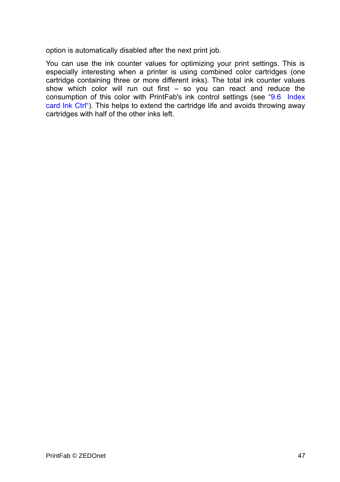option is automatically disabled after the next print job.

You can use the ink counter values for optimizing your print settings. This is especially interesting when a printer is using combined color cartridges (one cartridge containing three or more different inks). The total ink counter values show which color will run out first – so you can react and reduce the consumption of this color with PrintFab's ink control settings (see ["9.6 Index](#page-47-0) [card Ink Ctrl"\)](#page-47-0). This helps to extend the cartridge life and avoids throwing away cartridges with half of the other inks left.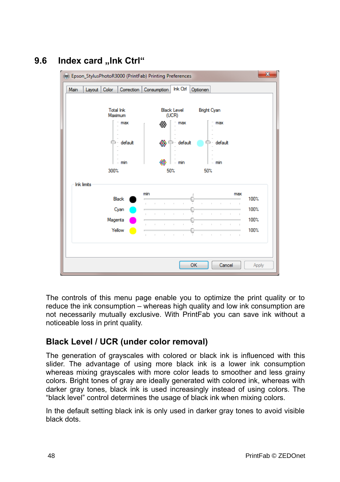## **9.6 Index card "Ink Ctrl"**

<span id="page-47-0"></span>

The controls of this menu page enable you to optimize the print quality or to reduce the ink consumption – whereas high quality and low ink consumption are not necessarily mutually exclusive. With PrintFab you can save ink without a noticeable loss in print quality.

## **Black Level / UCR (under color removal)**

The generation of grayscales with colored or black ink is influenced with this slider. The advantage of using more black ink is a lower ink consumption whereas mixing grayscales with more color leads to smoother and less grainy colors. Bright tones of gray are ideally generated with colored ink, whereas with darker gray tones, black ink is used increasingly instead of using colors. The "black level" control determines the usage of black ink when mixing colors.

In the default setting black ink is only used in darker gray tones to avoid visible black dots.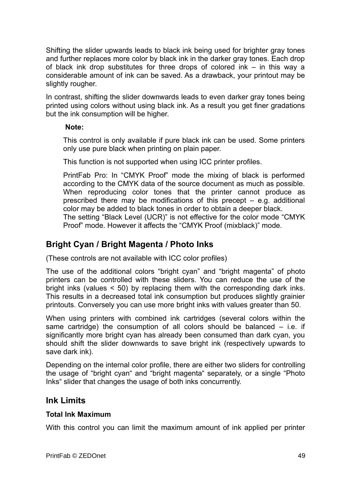Shifting the slider upwards leads to black ink being used for brighter gray tones and further replaces more color by black ink in the darker gray tones. Each drop of black ink drop substitutes for three drops of colored ink – in this way a considerable amount of ink can be saved. As a drawback, your printout may be slightly rougher.

In contrast, shifting the slider downwards leads to even darker gray tones being printed using colors without using black ink. As a result you get finer gradations but the ink consumption will be higher.

#### **Note:**

This control is only available if pure black ink can be used. Some printers only use pure black when printing on plain paper.

This function is not supported when using ICC printer profiles.

PrintFab Pro: In "CMYK Proof" mode the mixing of black is performed according to the CMYK data of the source document as much as possible. When reproducing color tones that the printer cannot produce as prescribed there may be modifications of this precept – e.g. additional color may be added to black tones in order to obtain a deeper black.

The setting "Black Level (UCR)" is not effective for the color mode "CMYK Proof" mode. However it affects the "CMYK Proof (mixblack)" mode.

## **Bright Cyan / Bright Magenta / Photo Inks**

(These controls are not available with ICC color profiles)

The use of the additional colors "bright cyan" and "bright magenta" of photo printers can be controlled with these sliders. You can reduce the use of the bright inks (values < 50) by replacing them with the corresponding dark inks. This results in a decreased total ink consumption but produces slightly grainier printouts. Conversely you can use more bright inks with values greater than 50.

When using printers with combined ink cartridges (several colors within the same cartridge) the consumption of all colors should be balanced – i.e. if significantly more bright cyan has already been consumed than dark cyan, you should shift the slider downwards to save bright ink (respectively upwards to save dark ink).

Depending on the internal color profile, there are either two sliders for controlling the usage of "bright cyan" and "bright magenta" separately, or a single "Photo Inks" slider that changes the usage of both inks concurrently.

### **Ink Limits**

#### **Total Ink Maximum**

With this control you can limit the maximum amount of ink applied per printer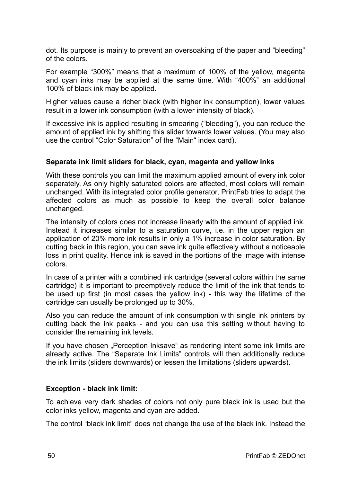dot. Its purpose is mainly to prevent an oversoaking of the paper and "bleeding" of the colors.

For example "300%" means that a maximum of 100% of the yellow, magenta and cyan inks may be applied at the same time. With "400%" an additional 100% of black ink may be applied.

Higher values cause a richer black (with higher ink consumption), lower values result in a lower ink consumption (with a lower intensity of black).

If excessive ink is applied resulting in smearing ("bleeding"), you can reduce the amount of applied ink by shifting this slider towards lower values. (You may also use the control "Color Saturation" of the "Main" index card).

#### **Separate ink limit sliders for black, cyan, magenta and yellow inks**

With these controls you can limit the maximum applied amount of every ink color separately. As only highly saturated colors are affected, most colors will remain unchanged. With its integrated color profile generator, PrintFab tries to adapt the affected colors as much as possible to keep the overall color balance unchanged.

The intensity of colors does not increase linearly with the amount of applied ink. Instead it increases similar to a saturation curve, i.e. in the upper region an application of 20% more ink results in only a 1% increase in color saturation. By cutting back in this region, you can save ink quite effectively without a noticeable loss in print quality. Hence ink is saved in the portions of the image with intense colors.

In case of a printer with a combined ink cartridge (several colors within the same cartridge) it is important to preemptively reduce the limit of the ink that tends to be used up first (in most cases the yellow ink) - this way the lifetime of the cartridge can usually be prolonged up to 30%.

Also you can reduce the amount of ink consumption with single ink printers by cutting back the ink peaks - and you can use this setting without having to consider the remaining ink levels.

If you have chosen "Perception Inksave" as rendering intent some ink limits are already active. The "Separate Ink Limits" controls will then additionally reduce the ink limits (sliders downwards) or lessen the limitations (sliders upwards).

#### **Exception - black ink limit:**

To achieve very dark shades of colors not only pure black ink is used but the color inks yellow, magenta and cyan are added.

The control "black ink limit" does not change the use of the black ink. Instead the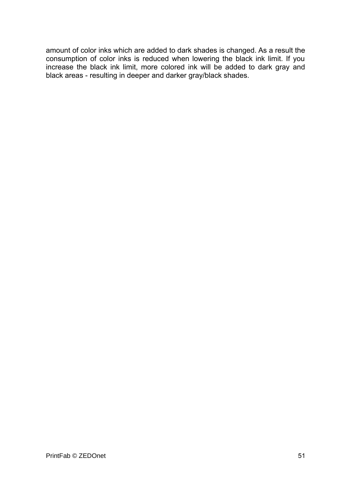amount of color inks which are added to dark shades is changed. As a result the consumption of color inks is reduced when lowering the black ink limit. If you increase the black ink limit, more colored ink will be added to dark gray and black areas - resulting in deeper and darker gray/black shades.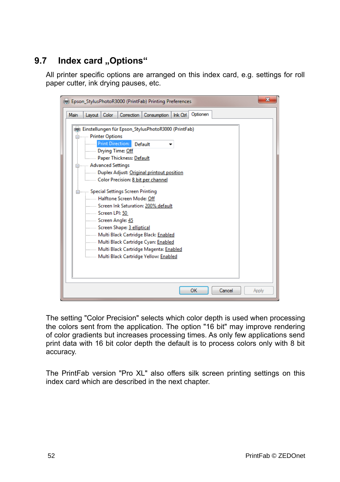## **9.7** Index card "Options"

<span id="page-51-0"></span>All printer specific options are arranged on this index card, e.g. settings for roll paper cutter, ink drying pauses, etc.

| Epson_StylusPhotoR3000 (PrintFab) Printing Preferences                                                                                                                                                                                                                                                                                                                                                                                                                                                                                                                                                                                    |  |  |  |  |
|-------------------------------------------------------------------------------------------------------------------------------------------------------------------------------------------------------------------------------------------------------------------------------------------------------------------------------------------------------------------------------------------------------------------------------------------------------------------------------------------------------------------------------------------------------------------------------------------------------------------------------------------|--|--|--|--|
| Optionen<br>Color<br>Correction  <br>Consumption<br>Ink Ctrl<br>Main<br>Lavout                                                                                                                                                                                                                                                                                                                                                                                                                                                                                                                                                            |  |  |  |  |
| Einstellungen für Epson_StylusPhotoR3000 (PrintFab)<br>Printer Options<br><b>Print Direction:</b><br>Default<br>Drying Time: Off<br><b>Election Paper Thickness: Default</b><br>Advanced Settings<br>Duplex Adjust: Original printout position<br>Color Precision: 8 bit per channel<br>Special Settings Screen Printing<br>Halftone Screen Mode: Off<br>Screen Ink Saturation: 200% default<br><b>Screen LPI: 50</b><br>Screen Angle: 45<br>Screen Shape: 3 elliptical<br>Multi Black Cartridge Black: Enabled<br>Multi Black Cartridge Cyan: Enabled<br>Multi Black Cartridge Magenta: Enabled<br>Multi Black Cartridge Yellow: Enabled |  |  |  |  |
| OK<br>Cancel<br>Apply                                                                                                                                                                                                                                                                                                                                                                                                                                                                                                                                                                                                                     |  |  |  |  |

The setting "Color Precision" selects which color depth is used when processing the colors sent from the application. The option "16 bit" may improve rendering of color gradients but increases processing times. As only few applications send print data with 16 bit color depth the default is to process colors only with 8 bit accuracy.

The PrintFab version "Pro XL" also offers silk screen printing settings on this index card which are described in the next chapter.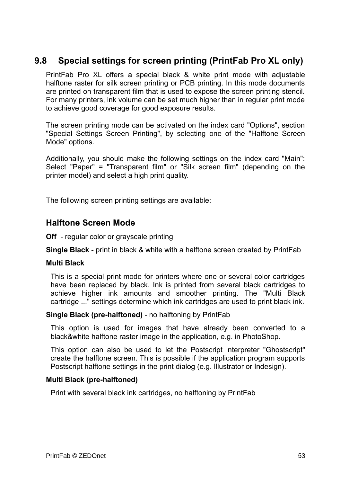## **9.8 Special settings for screen printing (PrintFab Pro XL only)**

<span id="page-52-0"></span>PrintFab Pro XL offers a special black & white print mode with adjustable halftone raster for silk screen printing or PCB printing. In this mode documents are printed on transparent film that is used to expose the screen printing stencil. For many printers, ink volume can be set much higher than in regular print mode to achieve good coverage for good exposure results.

The screen printing mode can be activated on the index card "Options", section "Special Settings Screen Printing", by selecting one of the "Halftone Screen Mode" options.

Additionally, you should make the following settings on the index card "Main": Select "Paper" = "Transparent film" or "Silk screen film" (depending on the printer model) and select a high print quality.

The following screen printing settings are available:

### **Halftone Screen Mode**

**Off** - regular color or grayscale printing

**Single Black** - print in black & white with a halftone screen created by PrintFab

#### **Multi Black**

This is a special print mode for printers where one or several color cartridges have been replaced by black. Ink is printed from several black cartridges to achieve higher ink amounts and smoother printing. The "Multi Black cartridge ..." settings determine which ink cartridges are used to print black ink.

#### **Single Black (pre-halftoned)** - no halftoning by PrintFab

This option is used for images that have already been converted to a black&white halftone raster image in the application, e.g. in PhotoShop.

This option can also be used to let the Postscript interpreter "Ghostscript" create the halftone screen. This is possible if the application program supports Postscript halftone settings in the print dialog (e.g. Illustrator or Indesign).

#### **Multi Black (pre-halftoned)**

Print with several black ink cartridges, no halftoning by PrintFab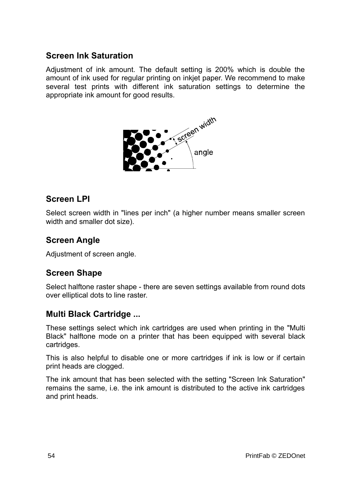## **Screen Ink Saturation**

Adjustment of ink amount. The default setting is 200% which is double the amount of ink used for regular printing on inkjet paper. We recommend to make several test prints with different ink saturation settings to determine the appropriate ink amount for good results.



### **Screen LPI**

Select screen width in "lines per inch" (a higher number means smaller screen width and smaller dot size).

## **Screen Angle**

Adjustment of screen angle.

## **Screen Shape**

Select halftone raster shape - there are seven settings available from round dots over elliptical dots to line raster.

### **Multi Black Cartridge ...**

These settings select which ink cartridges are used when printing in the "Multi Black" halftone mode on a printer that has been equipped with several black cartridges.

This is also helpful to disable one or more cartridges if ink is low or if certain print heads are clogged.

The ink amount that has been selected with the setting "Screen Ink Saturation" remains the same, i.e. the ink amount is distributed to the active ink cartridges and print heads.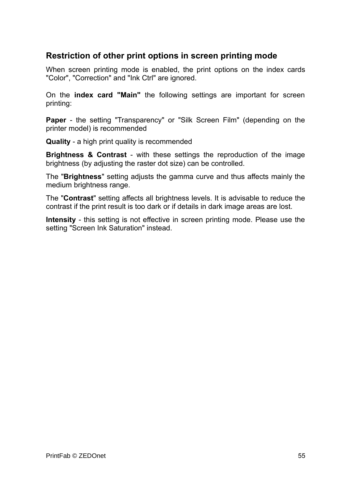## **Restriction of other print options in screen printing mode**

When screen printing mode is enabled, the print options on the index cards "Color", "Correction" and "Ink Ctrl" are ignored.

On the **index card "Main"** the following settings are important for screen printing:

**Paper** - the setting "Transparency" or "Silk Screen Film" (depending on the printer model) is recommended

**Quality** - a high print quality is recommended

**Brightness & Contrast** - with these settings the reproduction of the image brightness (by adjusting the raster dot size) can be controlled.

The "**Brightness**" setting adjusts the gamma curve and thus affects mainly the medium brightness range.

The "**Contrast**" setting affects all brightness levels. It is advisable to reduce the contrast if the print result is too dark or if details in dark image areas are lost.

**Intensity** - this setting is not effective in screen printing mode. Please use the setting "Screen Ink Saturation" instead.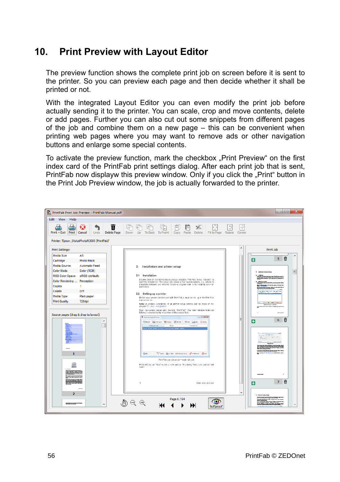## <span id="page-55-0"></span>**10. Print Preview with Layout Editor**

The preview function shows the complete print job on screen before it is sent to the printer. So you can preview each page and then decide whether it shall be printed or not.

With the integrated Layout Editor you can even modify the print job before actually sending it to the printer. You can scale, crop and move contents, delete or add pages. Further you can also cut out some snippets from different pages of the job and combine them on a new page – this can be convenient when printing web pages where you may want to remove ads or other navigation buttons and enlarge some special contents.

To activate the preview function, mark the checkbox "Print Preview" on the first index card of the PrintFab print settings dialog. After each print job that is sent, PrintFab now displayw this preview window. Only if you click the "Print" button in the Print Job Preview window, the job is actually forwarded to the printer.

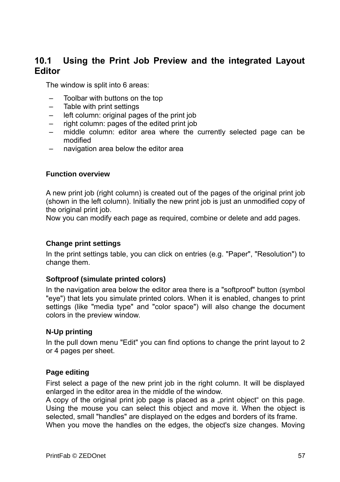## <span id="page-56-0"></span>**10.1 Using the Print Job Preview and the integrated Layout Editor**

The window is split into 6 areas:

- Toolbar with buttons on the top
- Table with print settings
- left column: original pages of the print job
- right column: pages of the edited print job
- middle column: editor area where the currently selected page can be modified
- navigation area below the editor area

#### **Function overview**

A new print job (right column) is created out of the pages of the original print job (shown in the left column). Initially the new print job is just an unmodified copy of the original print job.

Now you can modify each page as required, combine or delete and add pages.

#### **Change print settings**

In the print settings table, you can click on entries (e.g. "Paper", "Resolution") to change them.

#### **Softproof (simulate printed colors)**

In the navigation area below the editor area there is a "softproof" button (symbol "eye") that lets you simulate printed colors. When it is enabled, changes to print settings (like "media type" and "color space") will also change the document colors in the preview window.

#### **N-Up printing**

In the pull down menu "Edit" you can find options to change the print layout to 2 or 4 pages per sheet.

#### **Page editing**

First select a page of the new print job in the right column. It will be displayed enlarged in the editor area in the middle of the window.

A copy of the original print job page is placed as a "print object" on this page. Using the mouse you can select this object and move it. When the object is selected, small "handles" are displayed on the edges and borders of its frame.

When you move the handles on the edges, the object's size changes. Moving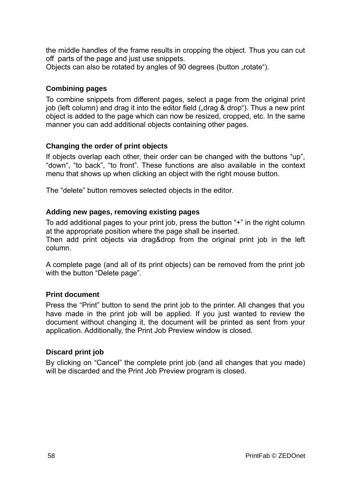the middle handles of the frame results in cropping the object. Thus you can cut off parts of the page and just use snippets.

Objects can also be rotated by angles of 90 degrees (button ..rotate").

#### **Combining pages**

To combine snippets from different pages, select a page from the original print job (left column) and drag it into the editor field ("drag & drop"). Thus a new print object is added to the page which can now be resized, cropped, etc. In the same manner you can add additional objects containing other pages.

#### **Changing the order of print objects**

If objects overlap each other, their order can be changed with the buttons "up", "down", "to back", "to front". These functions are also available in the context menu that shows up when clicking an object with the right mouse button.

The "delete" button removes selected objects in the editor.

#### **Adding new pages, removing existing pages**

To add additional pages to your print job, press the button "+" in the right column at the appropriate position where the page shall be inserted. Then add print objects via drag&drop from the original print job in the left column.

A complete page (and all of its print objects) can be removed from the print job with the button "Delete page".

#### **Print document**

Press the "Print" button to send the print job to the printer. All changes that you have made in the print job will be applied. If you just wanted to review the document without changing it, the document will be printed as sent from your application. Additionally, the Print Job Preview window is closed.

#### **Discard print job**

By clicking on "Cancel" the complete print job (and all changes that you made) will be discarded and the Print Job Preview program is closed.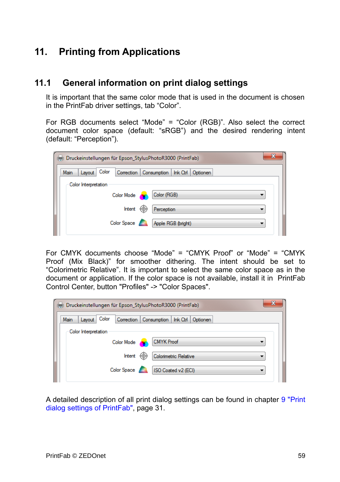## <span id="page-58-1"></span>**11. Printing from Applications**

### **11.1 General information on print dialog settings**

<span id="page-58-0"></span>It is important that the same color mode that is used in the document is chosen in the PrintFab driver settings, tab "Color".

For RGB documents select "Mode" = "Color (RGB)". Also select the correct document color space (default: "sRGB") and the desired rendering intent (default: "Perception").

| x<br>Druckeinstellungen für Epson_StylusPhotoR3000 (PrintFab)                           |  |  |  |  |  |  |
|-----------------------------------------------------------------------------------------|--|--|--|--|--|--|
| Color<br>Correction Consumption<br>Main<br>Layout<br>$lnk$ Ctrl $\parallel$<br>Optionen |  |  |  |  |  |  |
| Color Interpretation                                                                    |  |  |  |  |  |  |
| Color (RGB)<br><b>Color Mode</b>                                                        |  |  |  |  |  |  |
| ⊕<br>Intent<br>Perception                                                               |  |  |  |  |  |  |
| Color Space<br>Apple RGB (bright)                                                       |  |  |  |  |  |  |
|                                                                                         |  |  |  |  |  |  |

For CMYK documents choose "Mode" = "CMYK Proof" or "Mode" = "CMYK Proof (Mix Black)" for smoother dithering. The intent should be set to "Colorimetric Relative". It is important to select the same color space as in the document or application. If the color space is not available, install it in PrintFab Control Center, button "Profiles" -> "Color Spaces".

| Druckeinstellungen für Epson_StylusPhotoR3000 (PrintFab) |                                                 |  |  |  |  |  |
|----------------------------------------------------------|-------------------------------------------------|--|--|--|--|--|
| Color<br>Layout<br>Main                                  | Correction Consumption   Ink Ctrl  <br>Optionen |  |  |  |  |  |
| Color Interpretation                                     |                                                 |  |  |  |  |  |
| Color Mode                                               | <b>CMYK Proof</b>                               |  |  |  |  |  |
| Intent                                                   | ⊕<br>Colorimetric Relative                      |  |  |  |  |  |
| Color Space                                              | ISO Coated v2 (ECI)                             |  |  |  |  |  |
|                                                          |                                                 |  |  |  |  |  |

A detailed description of all print dialog settings can be found in chapter [9 "Print](#page-30-1) [dialog settings of PrintFab"](#page-30-1), page [31.](#page-30-1)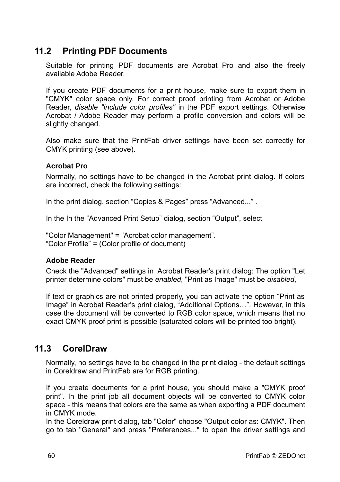## **11.2 Printing PDF Documents**

<span id="page-59-1"></span>Suitable for printing PDF documents are Acrobat Pro and also the freely available Adobe Reader.

If you create PDF documents for a print house, make sure to export them in "CMYK" color space only. For correct proof printing from Acrobat or Adobe Reader, *disable "include color profiles"* in the PDF export settings. Otherwise Acrobat / Adobe Reader may perform a profile conversion and colors will be slightly changed.

Also make sure that the PrintFab driver settings have been set correctly for CMYK printing (see above).

#### **Acrobat Pro**

Normally, no settings have to be changed in the Acrobat print dialog. If colors are incorrect, check the following settings:

In the print dialog, section "Copies & Pages" press "Advanced...".

In the In the "Advanced Print Setup" dialog, section "Output", select

"Color Management" = "Acrobat color management". "Color Profile" = (Color profile of document)

#### **Adobe Reader**

Check the "Advanced" settings in Acrobat Reader's print dialog: The option "Let printer determine colors" must be *enabled*, "Print as Image" must be *disabled*,

If text or graphics are not printed properly, you can activate the option "Print as Image" in Acrobat Reader's print dialog, "Additional Options…". However, in this case the document will be converted to RGB color space, which means that no exact CMYK proof print is possible (saturated colors will be printed too bright).

## **11.3 CorelDraw**

<span id="page-59-0"></span>Normally, no settings have to be changed in the print dialog - the default settings in Coreldraw and PrintFab are for RGB printing.

If you create documents for a print house, you should make a "CMYK proof print". In the print job all document objects will be converted to CMYK color space - this means that colors are the same as when exporting a PDF document in CMYK mode.

In the Coreldraw print dialog, tab "Color" choose "Output color as: CMYK". Then go to tab "General" and press "Preferences..." to open the driver settings and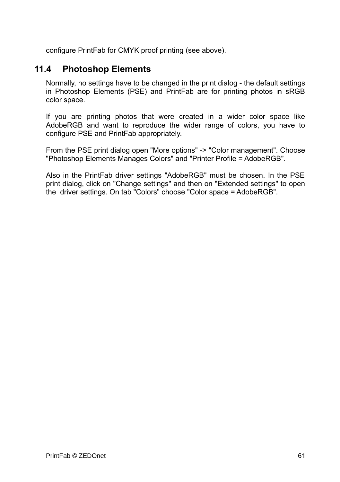configure PrintFab for CMYK proof printing (see above).

## **11.4 Photoshop Elements**

<span id="page-60-0"></span>Normally, no settings have to be changed in the print dialog - the default settings in Photoshop Elements (PSE) and PrintFab are for printing photos in sRGB color space.

If you are printing photos that were created in a wider color space like AdobeRGB and want to reproduce the wider range of colors, you have to configure PSE and PrintFab appropriately.

From the PSE print dialog open "More options" -> "Color management". Choose "Photoshop Elements Manages Colors" and "Printer Profile = AdobeRGB".

Also in the PrintFab driver settings "AdobeRGB" must be chosen. In the PSE print dialog, click on "Change settings" and then on "Extended settings" to open the driver settings. On tab "Colors" choose "Color space = AdobeRGB".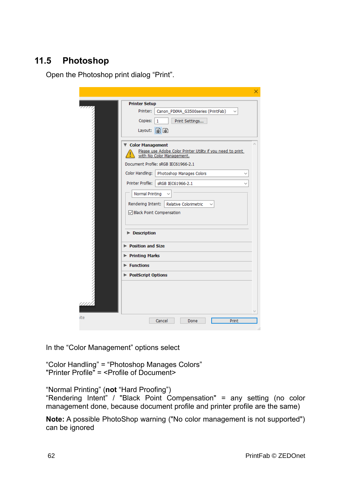## **11.5 Photoshop**

<span id="page-61-0"></span>Open the Photoshop print dialog "Print".

|                                                                                                                                                                                                                                                                                                                                                                                                                                                                                                          | × |
|----------------------------------------------------------------------------------------------------------------------------------------------------------------------------------------------------------------------------------------------------------------------------------------------------------------------------------------------------------------------------------------------------------------------------------------------------------------------------------------------------------|---|
| <b>Printer Setup</b>                                                                                                                                                                                                                                                                                                                                                                                                                                                                                     |   |
| Printer:<br>Canon_PIXMA_G3500series (PrintFab)                                                                                                                                                                                                                                                                                                                                                                                                                                                           |   |
| Copies:<br>1<br>Print Settings                                                                                                                                                                                                                                                                                                                                                                                                                                                                           |   |
| 南面<br>Layout:                                                                                                                                                                                                                                                                                                                                                                                                                                                                                            |   |
| ▼ Color Management<br>Please use Adobe Color Printer Utility if you need to print<br>with No Color Management.<br>Document Profile: sRGB IEC61966-2.1<br>Color Handling:<br>Photoshop Manages Colors<br><b>Printer Profile:</b><br>sRGB IEC61966-2.1<br><b>Normal Printing</b><br>Rendering Intent:<br>Relative Colorimetric<br>☑ Black Point Compensation<br><b>Description</b><br>$\triangleright$ Position and Size<br><b>Printing Marks</b><br>$\blacktriangleright$ Functions<br>PostScript Options |   |
| ite<br>Cancel<br>Print<br>Done                                                                                                                                                                                                                                                                                                                                                                                                                                                                           |   |

In the "Color Management" options select

"Color Handling" = "Photoshop Manages Colors" "Printer Profile" = <Profile of Document>

"Normal Printing" (**not** "Hard Proofing") "Rendering Intent" / "Black Point Compensation" = any setting (no color management done, because document profile and printer profile are the same)

**Note:** A possible PhotoShop warning ("No color management is not supported") can be ignored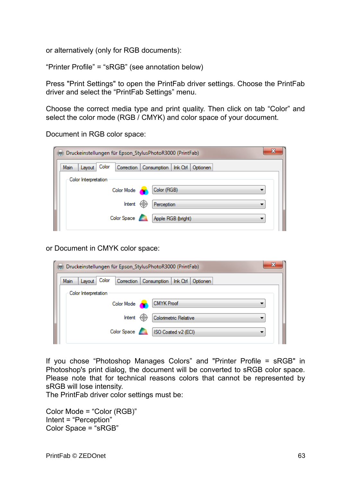or alternatively (only for RGB documents):

"Printer Profile" = "sRGB" (see annotation below)

Press "Print Settings" to open the PrintFab driver settings. Choose the PrintFab driver and select the "PrintFab Settings" menu.

Choose the correct media type and print quality. Then click on tab "Color" and select the color mode (RGB / CMYK) and color space of your document.

Document in RGB color space:

| Druckeinstellungen für Epson_StylusPhotoR3000 (PrintFab) |                                                 |  |
|----------------------------------------------------------|-------------------------------------------------|--|
| Color<br>Main<br>Layout                                  | Correction Consumption   Ink Ctrl  <br>Optionen |  |
| Color Interpretation                                     |                                                 |  |
| Color Mode                                               | Color (RGB)                                     |  |
| Intent                                                   | Perception<br>₩                                 |  |
| Color Space                                              | Apple RGB (bright)                              |  |
|                                                          |                                                 |  |

or Document in CMYK color space:

| 23<br>Druckeinstellungen für Epson_StylusPhotoR3000 (PrintFab)               |  |  |  |  |  |
|------------------------------------------------------------------------------|--|--|--|--|--|
| Color<br>Main<br>Correction   Consumption   Ink Ctrl  <br>Lavout<br>Optionen |  |  |  |  |  |
| Color Interpretation                                                         |  |  |  |  |  |
| <b>CMYK Proof</b><br>Color Mode                                              |  |  |  |  |  |
| Intent<br>€Θ.<br>Colorimetric Relative                                       |  |  |  |  |  |
| Color Space<br>ISO Coated v2 (ECI)                                           |  |  |  |  |  |

If you chose "Photoshop Manages Colors" and "Printer Profile = sRGB" in Photoshop's print dialog, the document will be converted to sRGB color space. Please note that for technical reasons colors that cannot be represented by sRGB will lose intensity.

The PrintFab driver color settings must be:

Color Mode = "Color (RGB)" Intent = "Perception" Color Space = "sRGB"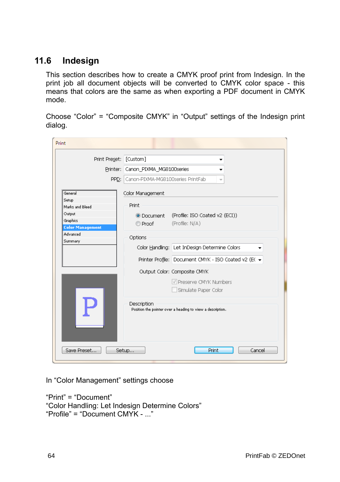## **11.6 Indesign**

<span id="page-63-0"></span>This section describes how to create a CMYK proof print from Indesign. In the print job all document objects will be converted to CMYK color space - this means that colors are the same as when exporting a PDF document in CMYK mode.

Choose "Color" = "Composite CMYK" in "Output" settings of the Indesign print dialog.

| Print                                         |                                                                                          |                                                            |  |  |
|-----------------------------------------------|------------------------------------------------------------------------------------------|------------------------------------------------------------|--|--|
| Print Preset: [Custom]                        |                                                                                          |                                                            |  |  |
| Printer:                                      | Canon PIXMA MG8100series<br>Canon-PIXMA-MG8100series PrintFab<br>$\overline{\mathbf{v}}$ |                                                            |  |  |
| PPD:                                          |                                                                                          |                                                            |  |  |
| General                                       | Color Management                                                                         |                                                            |  |  |
| Setup<br>Marks and Bleed                      | Print                                                                                    |                                                            |  |  |
| Output<br>Graphics<br><b>Color Management</b> | O Document<br>© Proof                                                                    | (Profile: ISO Coated v2 (ECI))<br>(Profile: N/A)           |  |  |
| Advanced<br>Summary                           | Options                                                                                  | Color Handling: Let InDesign Determine Colors              |  |  |
|                                               |                                                                                          | Printer Profile: Document CMYK - ISO Coated v2 (EC ▼       |  |  |
|                                               |                                                                                          | Output Color: Composite CMYK                               |  |  |
|                                               |                                                                                          | V Preserve CMYK Numbers<br>Simulate Paper Color            |  |  |
|                                               | Description                                                                              | Position the pointer over a heading to view a description. |  |  |
| Save Preset                                   | Setup                                                                                    | Print<br>Cancel                                            |  |  |

In "Color Management" settings choose

"Print" = "Document" "Color Handling: Let Indesign Determine Colors" "Profile" = "Document CMYK - ..."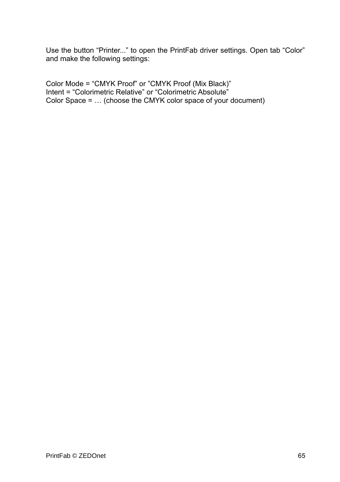Use the button "Printer..." to open the PrintFab driver settings. Open tab "Color" and make the following settings:

Color Mode = "CMYK Proof" or "CMYK Proof (Mix Black)" Intent = "Colorimetric Relative" or "Colorimetric Absolute" Color Space = … (choose the CMYK color space of your document)